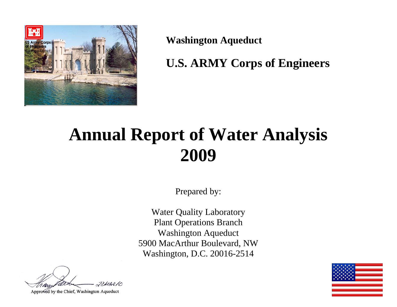

**Washington Aqueduct** 

**U.S. ARMY Corps of Engineers** 

# **Annual Report of Water Analysis 2009**

Prepared by:

Water Quality Laboratory Plant Operations Branch Washington Aqueduct 5900 MacArthur Boulevard, NW Washington, D.C. 20016-2514

 $2314210$ 

Approved by the Chief, Washington Aqueduct

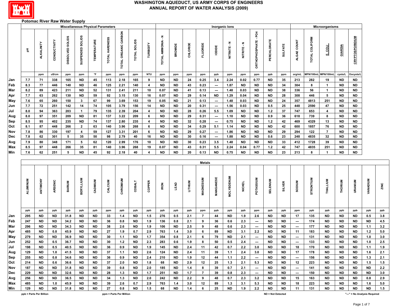

#### **Potomac River Raw Water Supply**

|            |              |                         |              | <b>Miscellaneous Physical Parameters</b> |                         |                        |                |                         |                        |                               |                        |                        |                |                  |                          | Inorganic lons    |                   |                                 |                          |                        |                                |                | Microorganisms                |                        |                              |              |            |
|------------|--------------|-------------------------|--------------|------------------------------------------|-------------------------|------------------------|----------------|-------------------------|------------------------|-------------------------------|------------------------|------------------------|----------------|------------------|--------------------------|-------------------|-------------------|---------------------------------|--------------------------|------------------------|--------------------------------|----------------|-------------------------------|------------------------|------------------------------|--------------|------------|
|            | 玉            | <b>ALKALINITY</b>       | CONDUCTIVITY | DISSOLVED SOLIDS                         | SUSPENDED SOLIDS        | <b>TEMPERATURE</b>     | TOTAL HARDNESS | TOTAL ORGANIC CARBON    | TOTAL SOLIDS           | TURBIDITY                     | TOTAL AMMONIA - N      | BROMIDE                | CHLORIDE       | <b>FLUORIDE</b>  | lopide                   | NITRATE-N         | NITRITE-N         | <b>DRTHOPHOSPHATE-PO4</b>       | PERCHLORATE              | <b>SULFATE</b>         | ALGAE COUNT                    | TOTAL COLIFORM | <b>Figar</b>                  | GIARDIA                | <b>CRYPTOSPORIDIUM</b>       |              |            |
|            |              | ppm                     | uS/cm        | ppm                                      | ppm                     | °F                     | ppm            | ppm                     | ppm                    | NTU                           | ppm                    | ppm                    | ppm            | ppm              | ppb                      | ppm               | ppm               | ppm                             | ppb                      | ppm                    | org/mL                         | MPN/100mL      | MPN/100mL                     | cysts/L                | Oocysts/L                    |              |            |
| Jan        | 7.7          | 71                      | 338          | 165                                      | <b>ND</b>               | 45                     | 113            | 2.18                    | 165                    | 9                             | <b>ND</b>              | <b>ND</b>              | 24             | 0.25             | 3.4                      | 2.24              | 0.02              | 0.77                            | <b>ND</b>                | 35                     | 213                            | 282            | 19                            | ND                     | ND                           |              |            |
| Feb        | 8.3          | 77                      | 446          | 140                                      | <b>ND</b>               | 46                     | 125            | 2.21                    | 140                    | $\overline{\mathbf{4}}$       | <b>ND</b>              | <b>ND</b>              | 43             | 0.23             | $\hspace{0.05cm} \cdots$ | 1.87              | <b>ND</b>         | <b>ND</b>                       | <b>ND</b>                | 34                     | 304                            | 8              | $\mathbf{1}$                  | <b>ND</b>              | <b>ND</b>                    |              |            |
| Mar        | 8.2          | 89                      | 423          | 211                                      | <b>ND</b>               | 52                     | 131            | 2.41                    | 211                    | 10                            | 0.07                   | <b>ND</b>              | 41             | 0.13             | ---                      | 1.48              | 0.03              | <b>ND</b>                       | <b>ND</b>                | 38                     | 336                            | 56             | $\mathbf{1}$                  | <b>ND</b>              | ND                           |              |            |
| Apr        | 7.7          | 63                      | 262          | 130                                      | ND                      | 59                     | 92             | 3.15                    | 130                    | 16                            | 0.07                   | <b>ND</b>              | 29             | 0.14             | <b>ND</b>                | 1.29              | 0.04              | <b>ND</b>                       | <b>ND</b>                | 28                     | 308                            | 446            | 5                             | <b>ND</b>              | ND                           |              |            |
| May        | 7.6          | 65                      | 260          | 150                                      | $\mathbf{3}$            | 67                     | 99             | 3.69                    | 153                    | 19                            | $0.05\,$               | <b>ND</b>              | 21             | 0.13             | $\hspace{0.05cm} \cdots$ | 1.48              | 0.03              | <b>ND</b>                       | <b>ND</b>                | 24                     | 357                            | 4813           | 251                           | <b>ND</b>              | $\sf ND$                     |              |            |
| Jun<br>Jul | $7.7$<br>8.0 | 72<br>94                | 251<br>363   | 142<br>203                               | 14<br>$\mathbf{1}$      | 74<br>79               | 105<br>135     | 3.79<br>2.39            | 156<br>204             | 14<br>$\overline{\mathbf{4}}$ | <b>ND</b><br><b>ND</b> | <b>ND</b><br><b>ND</b> | 20<br>28       | 0.31<br>0.26     | ---<br>5.5               | 1.56<br>1.09      | 0.03<br><b>ND</b> | <b>ND</b><br><b>ND</b>          | 0.5<br>1.2               | 25<br>37               | 448<br>747                     | 2590<br>653    | 47<br>$\overline{\mathbf{4}}$ | <b>ND</b><br><b>ND</b> | <b>ND</b><br><b>ND</b>       |              |            |
| Aug        | 8.0          | 97                      | 351          | 209                                      | $\sf ND$                | 81                     | 137            | 3.22                    | 209                    | 6                             | <b>ND</b>              | <b>ND</b>              | 29             | 0.31             | $\overline{\phantom{a}}$ | 1.10              | $\sf ND$          | <b>ND</b>                       | 0.9                      | 36                     | 618                            | 739            | 8                             | <b>ND</b>              | $\sf ND$                     |              |            |
| Sep        | 8.5          | 95                      | 402          | 235                                      | <b>ND</b>               | 74                     | 137            | 2.80                    | 235                    | $\overline{\mathbf{4}}$       | <b>ND</b>              | <b>ND</b>              | 32             | 0.28             | $\overline{\phantom{a}}$ | 0.75              | <b>ND</b>         | <b>ND</b>                       | $1.2$                    | 42                     | 469                            | 4329           | 13                            | <b>ND</b>              | <b>ND</b>                    |              |            |
| Oct        | 8.1          | 87                      | 448          | 266                                      | $\mathbf{2}$            | 63                     | 140            | 3.96                    | 268                    | 6                             | <b>ND</b>              | <b>ND</b>              | 34             | 0.29             | 5.1                      | 1.14              | <b>ND</b>         | <b>ND</b>                       | <b>ND</b>                | 42                     | 600                            | 1857           | 76                            | <b>ND</b>              | ND                           |              |            |
| Nov        | 7.8          | 86                      | 330          | 197                                      | $\overline{\mathbf{4}}$ | 59                     | 127            | 3.31                    | 201                    | 6                             | <b>ND</b>              | <b>ND</b>              | 29             | 0.27             | $\overline{\phantom{a}}$ | 1.86              | <b>ND</b>         | <b>ND</b>                       | <b>ND</b>                | 29                     | 294                            | 122            | $\overline{7}$                | ND                     | <b>ND</b>                    |              |            |
| Dec        | 7.8          | 62                      | 301          | 5                                        | 35                      | 50                     | 98             | 2.79                    | 40                     | 16                            | <b>ND</b>              | <b>ND</b>              | 30             | 0.16             | ---                      | 1.88              | <b>ND</b>         | <b>ND</b>                       | 0.6                      | 23                     | 248                            | 4835           | 32                            | <b>ND</b>              | <b>ND</b>                    |              |            |
| Avg        | 7.9          | 80                      | 348          | 171                                      | 5                       | 62                     | 120            | 2.99                    | 176                    | 10                            | <b>ND</b>              | <b>ND</b>              | 30             | 0.23             | 3.5                      | 1.48              | <b>ND</b>         | <b>ND</b>                       | <b>ND</b>                | 33                     | 412                            | 1728           | 39                            | <b>ND</b>              | ND                           |              |            |
| <b>Max</b> | 8.5          | 97                      | 448          | 266                                      | 35                      | 81                     | 140            | 3.96                    | 268                    | 19                            | 0.07                   | <b>ND</b>              | 43             | 0.31             | 5.5                      | 2.24              | 0.04              | 0.77                            | $1.2$                    | 42                     | 747                            | 4835           | 251                           | <b>ND</b>              | ND                           |              |            |
| Min        | 7.6          | 62                      | 251          | 5                                        | $\sf ND$                | 45                     | 92             | 2.18                    | 40                     | 4                             | <b>ND</b>              | <b>ND</b>              | 20             | 0.13             | <b>ND</b>                | 0.75              | <b>ND</b>         | <b>ND</b>                       | <b>ND</b>                | 23                     | 213                            | 8              | $\overline{1}$                | <b>ND</b>              | ND                           |              |            |
|            |              |                         |              |                                          |                         |                        |                |                         |                        |                               |                        |                        |                | <b>Metals</b>    |                          |                   |                   |                                 |                          |                        |                                |                |                               |                        |                              |              |            |
|            |              |                         |              |                                          |                         |                        |                |                         |                        |                               |                        |                        |                |                  |                          |                   |                   |                                 |                          |                        |                                |                |                               |                        |                              |              |            |
|            | ALUMINUM     | ANTIMONY                | ARSENIC      | <b>BARIUM</b>                            | <b>BERYLLIUM</b>        | CADMIUM                | CALCIUM        | CHROMIUM                | <b>COBALT</b>          | COPPER                        | IRON                   | LEAD                   | <b>LITHIUM</b> | <b>MAGNESIUM</b> | MANGANESE                | <b>MOLYBDENUM</b> | <b>NICKEL</b>     | POTASSIUM                       | SELENIUM                 | <b>SILVER</b>          | <b>SODIUM</b>                  | STRONTIUM      | THALLIUM                      | THORIUM                | URANIUM                      | WANADIUM     | ZINC       |
|            | ppb          | ppb                     | ppb          | ppb                                      | ppb                     | ppb                    | ppm            | ppb                     | ppb                    | ppb                           | ppb                    | ppb                    | ppb            | ppm              | ppb                      | ppb               | ppb               | ppm                             | ppb                      | ppb                    | ppm                            | ppb            | ppb                           | ppb                    | ppb                          | ppb          | ppt        |
| Jan        | 295          | <b>ND</b>               | <b>ND</b>    | 31.8                                     | <b>ND</b>               | ND                     | 33             | 1.4                     | <b>ND</b>              | 1.5                           | 276                    | 0.5                    | 2.1            | $\overline{7}$   | 44                       | <b>ND</b>         | 1.9               | 2.6                             | <b>ND</b>                | ND                     | 17                             | 135            | <b>ND</b>                     | <b>ND</b>              | ND                           | 0.5          | 3.8        |
| Feb        | 247          | <b>ND</b>               | <b>ND</b>    | 34.2                                     | <b>ND</b>               | <b>ND</b>              | 36             | 0.8                     | <b>ND</b>              | 1.9                           | 136                    | 0.8                    | 2.1            | 9                | 36                       | 0.6               | 2.3               | $\sim$                          | <b>ND</b>                | <b>ND</b>              | $\hspace{0.05cm} \cdots$       | 174            | <b>ND</b>                     | <b>ND</b>              | <b>ND</b>                    | <b>ND</b>    | 4.5        |
| Mar        | 296          | <b>ND</b>               | <b>ND</b>    | 34.3                                     | <b>ND</b>               | <b>ND</b>              | 38             | 2.6                     | <b>ND</b>              | 1.9                           | 106                    | <b>ND</b>              | 2.5            | 9                | 48                       | 0.6               | 2.3               | $\overline{\phantom{a}}$        | <b>ND</b>                | ND                     | $\overline{\phantom{a}}$       | 177            | <b>ND</b>                     | ND                     | ND                           | 1.1          | 3.2        |
| Apr        | 485          | <b>ND</b>               | 0.8          | 45.9                                     | <b>ND</b>               | <b>ND</b>              | 27             | 1.9                     | 0.7                    | 2.9                           | 763                    | 1.4                    | 3.0            | 6                | 89                       | <b>ND</b>         | 3.1               | 2.2                             | ND                       | <b>ND</b>              | 11                             | 183            | ND                            | ND                     | <b>ND</b>                    | $1.2$        | 5.0        |
| May        | 279          | <b>ND</b>               | <b>ND</b>    | 36.9                                     | <b>ND</b>               | <b>ND</b>              | 30             | $1.1$                   | <b>ND</b>              | $1.7$                         | 354                    | 0.8                    | $2.1$          | 6                | 79                       | <b>ND</b>         | 2.1               | $\sim$                          | ND                       | ND                     | ---                            | 131            | <b>ND</b>                     | <b>ND</b>              | <b>ND</b>                    | 1.0          | 3.0        |
| Jun<br>Jul | 252<br>198   | <b>ND</b><br><b>ND</b>  | 0.5<br>0.5   | 36.7<br>40.5                             | <b>ND</b><br><b>ND</b>  | <b>ND</b><br><b>ND</b> | 30<br>36       | $1.2\,$<br>0.9          | <b>ND</b><br><b>ND</b> | $\bf 2.3$<br>1.9              | 283<br>145             | 0.6<br><b>ND</b>       | 1.9<br>2.4     | 8                | 50<br>42                 | $0.5\,$<br>0.7    | 2.4<br>2.2        | $\overline{\phantom{a}}$<br>3.0 | <b>ND</b><br><b>ND</b>   | <b>ND</b><br><b>ND</b> | $\hspace{0.05cm} \cdots$<br>18 | 133<br>170     | <b>ND</b><br><b>ND</b>        | <b>ND</b><br><b>ND</b> | <b>ND</b><br><b>ND</b>       | $1.0$<br>1.1 | 2.5<br>1.9 |
|            |              |                         |              |                                          | <b>ND</b>               |                        | 37             |                         |                        |                               |                        |                        |                | 11               | 39                       |                   |                   |                                 |                          |                        | 17                             |                |                               |                        | <b>ND</b>                    |              | 2.1        |
| Aug        | 129          | <b>ND</b>               | 1.0<br>0.8   | 41.5                                     |                         | <b>ND</b><br><b>ND</b> |                | 1.1                     | <b>ND</b><br><b>ND</b> | 2.6<br>2.4                    | 124<br>210             | <b>ND</b><br><b>ND</b> | 2.4<br>1.9     | 11               | 44                       | 1.1               | 2.4<br>2.2        | 3.0                             | ND<br>ND                 | ND<br>ND.              |                                | 178            | <b>ND</b><br>ND               | ND.<br>ND              | ND                           | 1.6          | 2.1        |
| Sep<br>Oct | 255<br>214   | <b>ND</b><br><b>ND</b>  | 0.6          | 34.6<br>36.6                             | ND<br><b>ND</b>         | <b>ND</b>              | 36<br>37       | 0.9<br>2.0              | <b>ND</b>              | 1.8                           | 68                     | <b>ND</b>              | 2.9            | 12<br>12         | 25                       | 1.1<br>1.3        | 2.1               | $\hspace{0.05cm} \cdots$<br>5.3 | <b>ND</b>                | <b>ND</b>              | $\hspace{0.05cm} \cdots$<br>12 | 156<br>223     | ND                            | ND.                    | <b>ND</b>                    | 1.3<br>1.5   | 1.5        |
| Nov        | 187          | <b>ND</b>               | ND.          | 31.8                                     | <b>ND</b>               | <b>ND</b>              | 39             | 0.8                     | <b>ND</b>              | 2.0                           | 185                    | <b>ND</b>              | 1.4            | 8                | 39                       | 0.7               | 2.1               | $\hspace{0.05cm} \cdots$        | ND                       | <b>ND</b>              | ---                            | 141            | ND                            | ND                     | ND                           | <b>ND</b>    | 2.2        |
| Dec        | 229          | ND                      | ND.          | 32.6                                     | ND                      | ND                     | 28             | 1.3                     | <b>ND</b>              | 1.7                           | 251                    | <b>ND</b>              | 1.7            | $\overline{7}$   | 39                       | 0.8               | 2.3               | $\hspace{0.05cm} \cdots$        | ND                       | ND                     | $\hspace{0.05cm} \cdots$       | 150            | ND                            | ND.                    | ND                           | <b>ND</b>    | 3.0        |
| Avg        | 256          | <b>ND</b>               | ND.          | 36.5                                     | <b>ND</b>               | <b>ND</b>              | 34             | 1.3                     | <b>ND</b>              | 2.0                           | 242                    | <b>ND</b>              | 2.2            | 9                | 48                       | 0.7               | 2.3               | 3.2                             | <b>ND</b>                | ND.                    | 15                             | 163            | <b>ND</b>                     | <b>ND</b>              | <b>ND</b>                    | 0.8          | 2.9        |
| Max        | 485          | <b>ND</b>               | 1.0          | 45.9                                     | <b>ND</b>               | <b>ND</b>              | 39             | 2.6                     | 0.7                    | 2.9                           | 763                    | 1.4                    | 3.0            | 12               | 89                       | 1.3               | 3.1               | 5.3                             | ND.                      | <b>ND</b>              | 18                             | 223            | <b>ND</b>                     | ND                     | <b>ND</b>                    | 1.6          | 5.0        |
| Min        | 129          | <b>ND</b>               | <b>ND</b>    | 31.8                                     | <b>ND</b>               | <b>ND</b>              | 27             | 0.8                     | <b>ND</b>              | 1.5                           | 68                     | <b>ND</b>              | 1.4            | 6                | 25                       | <b>ND</b>         | 1.9               | 2.2                             | <b>ND</b>                | <b>ND</b>              | 11                             | 131            | <b>ND</b>                     | <b>ND</b>              | <b>ND</b>                    | <b>ND</b>    | 1.5        |
|            |              | ppb = Parts Per Billion |              |                                          |                         |                        |                | ppm = Parts Per Million |                        |                               |                        |                        |                |                  |                          |                   |                   |                                 | <b>ND = Not Detected</b> |                        |                                |                |                               |                        | "---" = No Analysis Required |              |            |

**ND = Not Detected**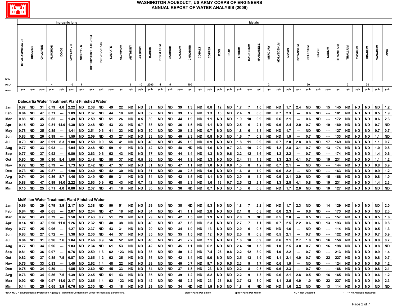

|             |                                                                                                                                                                                                              |           |         |                                                      | Inorganic lons |      |           |                           |           |                |          |           |                                  |               |           |           |         |           |           |        |             |             |                |                | Metals                                        |           |                   |     |                          |                 |               |                          |                                   |                |           |                |                                                                                                                  |           |
|-------------|--------------------------------------------------------------------------------------------------------------------------------------------------------------------------------------------------------------|-----------|---------|------------------------------------------------------|----------------|------|-----------|---------------------------|-----------|----------------|----------|-----------|----------------------------------|---------------|-----------|-----------|---------|-----------|-----------|--------|-------------|-------------|----------------|----------------|-----------------------------------------------|-----------|-------------------|-----|--------------------------|-----------------|---------------|--------------------------|-----------------------------------|----------------|-----------|----------------|------------------------------------------------------------------------------------------------------------------|-----------|
|             | z<br>TOTAL AMMONIA                                                                                                                                                                                           | BROMIDE   | CHLORID | <b>FLUORIDE</b>                                      | <b>IODIDE</b>  |      |           | <b>DRTHOPHOSPHATE-PO4</b> | ERCHLORAT | <b>SULFATE</b> | ALUMINUM | ANTIMONY  | ARSENIC                          | <b>BARIUM</b> | BERYLLIU  | CADMIUM   | CALCIUM | CHROMIUN  | COBALT    | COPPER | <b>IRON</b> | <b>LEAD</b> | <b>LITHIUM</b> | MAGNESIUM      | MANGANES                                      |           | <b>MOLYBDENUM</b> |     | POTASSIUM                | <b>SELENIUM</b> | <b>SILVER</b> | <b>MUNGOS</b>            | STRONTIUM                         | THALLIUM       | THORIUM   | <b>URANIUM</b> | WUIGANAV                                                                                                         | ZINC      |
| EPA<br>MCL* |                                                                                                                                                                                                              |           |         | 4                                                    |                | 10   | -1        |                           |           |                |          | 6         | 10                               | 2000          | -4        | -5        |         | 100       |           |        |             |             |                |                |                                               | 2         |                   |     |                          | 50              |               |                          |                                   | $\overline{2}$ |           | 30             |                                                                                                                  |           |
| Units       | ppm                                                                                                                                                                                                          | ppm       | ppm     | ppm                                                  | ppb            | ppm  | ppm       | ppm                       | ppb       | ppm            | ppb      | ppb       | ppb                              | ppb           | ppb       | ppb       | ppm     | ppb       | ppb       | ppb    | ppb         | ppb         | ppb            | ppm            | ppb                                           | ppb       | ppb               | ppb | ppm                      | ppb             | ppb           | ppm                      | ppb                               | ppb            | ppb       | ppb            | ppb                                                                                                              | ppb       |
|             |                                                                                                                                                                                                              |           |         | Dalecarlia Water Treatment Plant Finished Water      |                |      |           |                           |           |                |          |           |                                  |               |           |           |         |           |           |        |             |             |                |                |                                               |           |                   |     |                          |                 |               |                          |                                   |                |           |                |                                                                                                                  |           |
| Jan         | 0.87                                                                                                                                                                                                         | <b>ND</b> | 31      | 0.79                                                 | 4.0            | 2.22 | <b>ND</b> | 2.38                      | <b>ND</b> | 49             | 22       | <b>ND</b> | <b>ND</b>                        | 31            | <b>ND</b> | <b>ND</b> | 39      | 1.3       | <b>ND</b> | 0.8    | 12          | <b>ND</b>   | 1.7            | $\overline{7}$ | 1.0                                           | <b>ND</b> | <b>ND</b>         | 1.7 | 2.4                      | <b>ND</b>       | <b>ND</b>     | 15                       | 145                               | <b>ND</b>      | <b>ND</b> | <b>ND</b>      | <b>ND</b>                                                                                                        | 1.2       |
| Feb         | 0.84                                                                                                                                                                                                         | ND        | 47      | 0.71                                                 |                | 1.89 | ND        | 2.37                      | ND        | 44             | 18       | ND        | ND                               | 32            | <b>ND</b> | <b>ND</b> | 39      | $1.2$     | <b>ND</b> | 1.3    | 13          | <b>ND</b>   | 2.4            | 9              | 0.8                                           | <b>ND</b> | 0.7               | 2.3 | $\hspace{0.05cm} \cdots$ | 0.6             | <b>ND</b>     |                          | 181                               | ND             | ND        | <b>ND</b>      | 0.5                                                                                                              | 1.9       |
| Mar         | 0.88                                                                                                                                                                                                         | ND.       | 45      | 0.85                                                 |                | 1.49 | <b>ND</b> | 2.59                      | <b>ND</b> | 51             | 26       | <b>ND</b> | 0.5                              | 30            | <b>ND</b> | <b>ND</b> | 44      | 1.9       | <b>ND</b> | 1.1    | <b>ND</b>   | <b>ND</b>   | 1.9            | 10             | 0.9                                           | <b>ND</b> | 0.6               | 2.1 | $\hspace{0.05cm} \cdots$ | 0.6             | <b>ND</b>     |                          | 172                               | <b>ND</b>      | <b>ND</b> | <b>ND</b>      | 0.6                                                                                                              | 2.3       |
| Apr         | 0.15                                                                                                                                                                                                         | ND        | 32      | 0.81                                                 | 14.0           | 1.30 | <b>ND</b> | 2.48                      | <b>ND</b> | 43             | 23       | <b>ND</b> | 0.7                              | 38            | <b>ND</b> | <b>ND</b> | 36      | 1.5       | <b>ND</b> | 1.1    | <b>ND</b>   | <b>ND</b>   | 2.5            | 6              | 2.1                                           | <b>ND</b> | 0.6               | 2.4 | 2.0                      | 0.7             | <b>ND</b>     | 10                       | 180                               | <b>ND</b>      | <b>ND</b> | <b>ND</b>      | 0.7                                                                                                              | <b>ND</b> |
| May         | 0.78                                                                                                                                                                                                         | ND        | 25      | 0.85                                                 |                | 1.41 | <b>ND</b> | 2.51                      | 0.6       | 41             | 23       | <b>ND</b> | <b>ND</b>                        | 30            | <b>ND</b> | <b>ND</b> | 39      | $1.2$     | <b>ND</b> | 0.7    | <b>ND</b>   | <b>ND</b>   | 1.8            | 6              | 1.3                                           | <b>ND</b> | <b>ND</b>         | 1.7 | $\hspace{0.05cm} \cdots$ | <b>ND</b>       | <b>ND</b>     | $\hspace{0.05cm} \cdots$ | 127                               | <b>ND</b>      | <b>ND</b> | <b>ND</b>      | 0.7                                                                                                              | 0.7       |
| Jun         | 0.83                                                                                                                                                                                                         | ND.       | 26      | 0.99                                                 | ---            | 1.59 | ND.       | 2.59                      | <b>ND</b> | 43             | 27       | ND        | <b>ND</b>                        | 33            | ND        | <b>ND</b> | 40      | 2.3       | <b>ND</b> | 0.8    | ND          | <b>ND</b>   | 1.6            | 7              | 0.9                                           | ND        | ND.               | 1.9 |                          | 0.7             | <b>ND</b>     | $\hspace{0.05cm} \cdots$ | 133                               | ND             | <b>ND</b> | ND             | 1.1                                                                                                              | ND        |
| Jul         | 0.79                                                                                                                                                                                                         | ND        | 32      | 0.91                                                 | 8.3            | 1.08 | ND.       | 2.50                      | 0.9       | 55             | 41       | <b>ND</b> | <b>ND</b>                        | 40            | ND        | <b>ND</b> | 45      | 1.9       | <b>ND</b> | 0.9    | <b>ND</b>   | <b>ND</b>   | 1.8            | 11             | 0.9                                           | ND        | 0.7               | 2.0 | 2.8                      | 0.8             | <b>ND</b>     | 17                       | 169                               | <b>ND</b>      | <b>ND</b> | <b>ND</b>      | 1.1                                                                                                              | 0.7       |
| Aug         | 0.77                                                                                                                                                                                                         | <b>ND</b> | 33      | 0.93                                                 | ---            | 1.04 | ND        | 2.48                      | <b>ND</b> | 59             | 41       | <b>ND</b> | <b>ND</b>                        | 42            | <b>ND</b> | <b>ND</b> | 48      | <b>ND</b> | <b>ND</b> | 1.6    | <b>ND</b>   | 0.7         | 2.3            | 10             | 2.0                                           | <b>ND</b> | $1.2$             | 2.8 | 3.1                      | 0.7             | <b>ND</b>     | 13                       | 174                               | <b>ND</b>      | <b>ND</b> | <b>ND</b>      | 1.0                                                                                                              | 0.8       |
| Sep         | 0.77                                                                                                                                                                                                         | <b>ND</b> | 37      | 0.92                                                 |                | 0.80 | ND        | 2.63                      | 0.6       | 62             | 43       | ND        | <b>ND</b>                        | 37            | <b>ND</b> | <b>ND</b> | 44      | 1.4       | <b>ND</b> | 1.3    | ND          | 0.6         | 2.2            | 12             | 1.6                                           | <b>ND</b> | 1.2               | 2.2 | $\overline{\phantom{a}}$ | 0.7             | <b>ND</b>     | $\hspace{0.05cm} \cdots$ | 174                               | <b>ND</b>      | ND        | <b>ND</b>      | 1.4                                                                                                              | 0.6       |
| Oct         | 0.80                                                                                                                                                                                                         | ND.       | 36      | 0.90                                                 | 8.4            | 1.09 | <b>ND</b> | 2.48                      | <b>ND</b> | 58             | 37       | <b>ND</b> | 0.5                              | 36            | <b>ND</b> | <b>ND</b> | 44      | 1.8       | <b>ND</b> | 1.3    | <b>ND</b>   | <b>ND</b>   | 2.4            | 11             | 1.3                                           | <b>ND</b> | 1.3               | 2.3 | 4.1                      | 0.7             | <b>ND</b>     | 19                       | 231                               | <b>ND</b>      | <b>ND</b> | <b>ND</b>      | 1.1                                                                                                              | $1.2$     |
| Nov         | 0.72                                                                                                                                                                                                         | ND        | 32      | 0.79                                                 |                | 1.73 | <b>ND</b> | 2.42                      | <b>ND</b> | 47             | 37       | <b>ND</b> | ND                               | 31            | ND        | <b>ND</b> | 47      | 1.1       | <b>ND</b> | 1.0    | <b>ND</b>   | 0.6         | 1.3            | 8              | 1.2                                           | <b>ND</b> | 0.7               | 2.1 |                          | <b>ND</b>       | <b>ND</b>     | $\hspace{0.05cm} \cdots$ | 144                               | ND             | ND        | ND.            | 0.8                                                                                                              | 0.9       |
| Dec         | 0.73                                                                                                                                                                                                         | <b>ND</b> | 36      | 0.87                                                 |                | 1.90 | ND        | 2.40                      | <b>ND</b> | 42             | 30       | ND        | ND                               | 31            | ND        | <b>ND</b> | 38      | 2.3       | <b>ND</b> | 1.0    | ND          | <b>ND</b>   | 1.6            | 8              | 1.0                                           | <b>ND</b> | 0.6               | 2.2 | ---                      | <b>ND</b>       | <b>ND</b>     | $\hspace{0.05cm} \cdots$ | 163                               | <b>ND</b>      | ND        | ND             | 0.9                                                                                                              | 1.2       |
| Avg         | 0.74                                                                                                                                                                                                         | <b>ND</b> | 34      | 0.86                                                 | 8.7            | 1.46 | ND        | 2.49                      | <b>ND</b> | 50             | 31       | ND        | ND                               | 34            | ND        | <b>ND</b> | 42      | 1.5       | <b>ND</b> | 1.1    | ND          | <b>ND</b>   | 2.0            | 9              | $1.2$                                         | <b>ND</b> | 0.6               | 2.1 | 2.9                      | <b>ND</b>       | <b>ND</b>     | 15                       | 166                               | <b>ND</b>      | ND.       | <b>ND</b>      | 0.8                                                                                                              | 1.0       |
| Max         | 0.88                                                                                                                                                                                                         | ND        | 47      | 0.99                                                 | 14.0           | 2.22 | ND        | 2.63                      | 0.9       | 62             | 43       | ND        | 0.7                              | 42            | <b>ND</b> | <b>ND</b> | 48      | 2.3       | <b>ND</b> | 1.6    | 13          | 0.7         | 2.5            | 12             | 2.1                                           | <b>ND</b> | 1.3               | 2.8 | 4.1                      | 0.8             | ND            | 19                       | 231                               | ND             | ND        | <b>ND</b>      | 1.4                                                                                                              | 2.3       |
| Min         | 0.15                                                                                                                                                                                                         | <b>ND</b> | 25      | 0.71                                                 | 4.0            | 0.80 | <b>ND</b> | 2.37                      | <b>ND</b> | 41             | 18       | <b>ND</b> | <b>ND</b>                        | 30            | <b>ND</b> | <b>ND</b> | 36      | <b>ND</b> | <b>ND</b> | 0.7    | <b>ND</b>   | <b>ND</b>   | 1.3            | 6              | 0.8                                           | <b>ND</b> | <b>ND</b>         | 1.7 | 2.0                      | <b>ND</b>       | <b>ND</b>     | 10                       | 127                               | <b>ND</b>      | <b>ND</b> | <b>ND</b>      | <b>ND</b>                                                                                                        | <b>ND</b> |
|             |                                                                                                                                                                                                              |           |         | <b>McMillan Water Treatment Plant Finished Water</b> |                |      |           |                           |           |                |          |           |                                  |               |           |           |         |           |           |        |             |             |                |                |                                               |           |                   |     |                          |                 |               |                          |                                   |                |           |                |                                                                                                                  |           |
| Jan         | 0.89                                                                                                                                                                                                         | <b>ND</b> | 29      | 0.79                                                 | 3.9            | 2.17 | ND.       | 2.38                      | ND        | 50             | 51       | <b>ND</b> | <b>ND</b>                        | 29            | <b>ND</b> | <b>ND</b> | 38      | <b>ND</b> | <b>ND</b> | 5.3    | <b>ND</b>   | <b>ND</b>   | 1.8            | 7              | 2.2                                           | <b>ND</b> | <b>ND</b>         | 1.7 | 2.3                      | <b>ND</b>       | <b>ND</b>     | 14                       | 129                               | <b>ND</b>      | <b>ND</b> | <b>ND</b>      | ND 2.0                                                                                                           |           |
| Feb         | 0.84                                                                                                                                                                                                         | <b>ND</b> | 49      | 0.65                                                 |                | 2.07 | ND.       | 2.34                      | ND        | 47             | 18       | ND        | <b>ND</b>                        | 34            | ND        | <b>ND</b> | 41      | 1.1       | <b>ND</b> | 2.8    | <b>ND</b>   | <b>ND</b>   | 2.1            | 8              | 0.8                                           | ND        | 0.6               | 2.3 |                          | 0.6             | <b>ND</b>     |                          | 173                               | ND             | ND.       | <b>ND</b>      | <b>ND</b>                                                                                                        | 2.3       |
| Mar         | 0.92                                                                                                                                                                                                         | ND        | 43      | 0.79                                                 |                | 1.50 | ND        | 2.43                      | 0.7       | 51             | 20       | ND        | ND                               | 29            | <b>ND</b> | <b>ND</b> | 42      | 1.5       | <b>ND</b> | 1.9    | <b>ND</b>   | <b>ND</b>   | 2.0            | 9              | <b>ND</b>                                     | <b>ND</b> | 0.5               | 2.0 |                          | 0.5             | ND            | $\hspace{0.05cm} \cdots$ | 157                               | ND             | ND        | <b>ND</b>      | 0.5                                                                                                              | 1.6       |
| Apr         | 0.14                                                                                                                                                                                                         | <b>ND</b> | 37      | $0.90$ 11.0                                          |                | 1.26 | ND        | 2.32                      | ND        | 48             | 38       | ND        | ND.                              | 40            | ND        | <b>ND</b> | 37      | 1.6       | <b>ND</b> | 2.3    | <b>ND</b>   | <b>ND</b>   | 2.7            | 7              | 1.1                                           | ND        | 0.7               | 2.5 | 2.2                      | 0.6             | <b>ND</b>     | 13                       | 193                               | ND             | ND        | <b>ND</b>      | 0.6                                                                                                              | 0.8       |
| May         | 0.77                                                                                                                                                                                                         | ND.       | 25      | 0.96                                                 | ---            | 1.27 | ND.       | 2.37                      | ND        | 43             | 31       | ND        | ND.                              | 29            | <b>ND</b> | <b>ND</b> | 34      | 1.0       | <b>ND</b> | 13     | <b>ND</b>   | <b>ND</b>   | 2.0            | 6              | 0.5                                           | <b>ND</b> | ND                | 1.6 | $\sim$                   | <b>ND</b>       | <b>ND</b>     | $\hspace{0.05cm} \cdots$ | 114                               | ND.            | ND        | <b>ND</b>      | 0.5                                                                                                              | 1.3       |
| Jun         | 0.83                                                                                                                                                                                                         | ND        | 27      | 0.72                                                 | ---            | 1.38 | ND        | 2.30                      | <b>ND</b> | 44             | 37       | ND        | <b>ND</b>                        | 35            | <b>ND</b> | <b>ND</b> | 35      | 1.5       | <b>ND</b> | 12     | <b>ND</b>   | <b>ND</b>   | 2.0            | 8              | 0.8                                           | <b>ND</b> | 0.5               | 2.1 | $\hspace{0.05cm} \cdots$ | 0.7             | <b>ND</b>     | $\hspace{0.05cm} \cdots$ | 122                               | <b>ND</b>      | ND        | <b>ND</b>      | 0.7                                                                                                              | 0.9       |
| Jul         | 0.84                                                                                                                                                                                                         | <b>ND</b> | 31      | 0.96                                                 | 7.6            | 1.04 | <b>ND</b> | 2.46                      | 0.9       | 56             | 52       | <b>ND</b> | <b>ND</b>                        | 40            | <b>ND</b> | <b>ND</b> | 41      | 2.2       | <b>ND</b> | 7.1    | <b>ND</b>   | <b>ND</b>   | 1.8            | 10             | 0.9                                           | <b>ND</b> | 0.6               | 2.1 | 2.7                      | 1.0             | <b>ND</b>     | 16                       | 158                               | <b>ND</b>      | <b>ND</b> | ND             | 0.8                                                                                                              | 0.7       |
|             | Aug <u>0.77  ND   34  0.96   --  1.03  ND   2.34  ND   61   53  ND   ND   42  ND  ND   45   1.1  ND   6.2  ND  ND   2.4   10   1.5  ND   1.0   2.5   3.0   0.7  ND   16  198  ND  ND   ND   ND   0.8  ND</u> |           |         |                                                      |                |      |           |                           |           |                |          |           |                                  |               |           |           |         |           |           |        |             |             |                |                |                                               |           |                   |     |                          |                 |               |                          |                                   |                |           |                |                                                                                                                  |           |
|             | Sep  0.81  ND   36  0.97   --  0.76  ND  2.59   1.3   62   123   ND   ND   38   ND   ND   40   1.2   ND   7.4   26   0.8   2.2   12   3.0   ND   1.0   2.2                                                   |           |         |                                                      |                |      |           |                           |           |                |          |           |                                  |               |           |           |         |           |           |        |             |             |                |                |                                               |           |                   |     |                          |                 |               |                          | --- │ 0.7 │ ND │ --- │ 213 │ ND │ |                |           |                | ND ND 0.9 1.4                                                                                                    |           |
|             | Oct <u>0.82 ND 37 0.85 7.5 0.87 ND 2.65 1.2 62 35 ND ND 36 ND ND 42 1.4 ND 9.0 ND ND 2.5 13 1.9 ND 1.1 2.1 4.0 0.7 ND 22 227 ND ND ND ND 0.8 0.7</u>                                                         |           |         |                                                      |                |      |           |                           |           |                |          |           |                                  |               |           |           |         |           |           |        |             |             |                |                |                                               |           |                   |     |                          |                 |               |                          |                                   |                |           |                |                                                                                                                  |           |
| Nov         | $ 0.76 $ ND 33 $ 0.83 $ --- 1.49 ND 2.62 1.4 48                                                                                                                                                              |           |         |                                                      |                |      |           |                           |           |                |          |           | 22   ND   ND   29   ND   ND   40 |               |           |           |         |           |           |        |             |             |                |                | <u>0.7 ND 9.7 ND 0.5 2.3 9 1.7 ND 0.6 1.9</u> |           |                   |     |                          |                 |               |                          |                                   |                |           |                |                                                                                                                  |           |
| Dec         | $\lfloor 0.75 \rfloor$ ND $\lfloor 34 \rfloor$ 0.89 -- 1.85 ND 2.60 ND 45 33 ND ND ND 34 ND ND 37                                                                                                            |           |         |                                                      |                |      |           |                           |           |                |          |           |                                  |               |           |           |         |           |           |        |             |             |                |                | 1.8 ND 23 ND ND 2.2 8 0.8 ND 0.6 2.3          |           |                   |     |                          |                 |               |                          |                                   |                |           |                | 0.7   0.7   Ω  −−−   168   ND   ND   0.8   2.1                                                                   |           |
|             |                                                                                                                                                                                                              |           |         |                                                      |                |      |           |                           |           |                |          |           |                                  |               |           |           |         |           |           |        |             |             |                |                |                                               |           |                   |     |                          |                 |               |                          |                                   |                |           |                | 1.2   ND   8.2   ND   ND   2.2   9   1.3   ND   0.6   2.1   2.8   0.5   ND   16   165   ND   ND   ND   0.6   1.2 |           |
|             |                                                                                                                                                                                                              |           |         |                                                      |                |      |           |                           |           |                |          |           |                                  |               |           |           | 45      |           |           |        |             |             |                |                | 2.2 ND 23 26 0.8 2.7 13 3.0 ND 1.1 2.5        |           |                   |     |                          |                 |               |                          |                                   |                |           |                | 4.0 1.0 ND 22 227 ND ND ND 0.9 2.3                                                                               |           |
|             |                                                                                                                                                                                                              |           |         |                                                      |                |      |           |                           |           |                |          |           |                                  |               |           |           |         |           |           |        |             |             |                |                |                                               |           |                   |     |                          |                 |               |                          |                                   |                |           |                |                                                                                                                  |           |

**\*EPA MCL = Environmental Protection Agency's Maximum Contaminant Level for regulated parameters. ppb = Parts Per Billion ppm = Parts Per Million "---" = No Analysis Required**

**ND = Not Detected**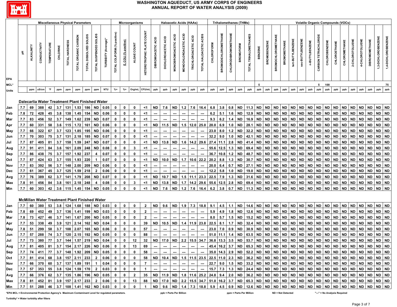

|            |            |                   |                                                      |                           |            |                | <b>Miscellaneous Physical Parameters</b> |                            |                        |                                                         |                             |                         | Microorganisms        |                                             |                           | <b>Haloacetic Acids (HAAs)</b> |                      |                          |                             |                           |                                                                                                                                                         |                             |                      | <b>Trihalomethanes (THMs)</b> |                       |                        |                     |                           |                        |                  |                  |                        |                             |                        | <b>Volatile Organic Compounds (VOCs)</b> |                        |                        |                 |                        |                     |                        |
|------------|------------|-------------------|------------------------------------------------------|---------------------------|------------|----------------|------------------------------------------|----------------------------|------------------------|---------------------------------------------------------|-----------------------------|-------------------------|-----------------------|---------------------------------------------|---------------------------|--------------------------------|----------------------|--------------------------|-----------------------------|---------------------------|---------------------------------------------------------------------------------------------------------------------------------------------------------|-----------------------------|----------------------|-------------------------------|-----------------------|------------------------|---------------------|---------------------------|------------------------|------------------|------------------|------------------------|-----------------------------|------------------------|------------------------------------------|------------------------|------------------------|-----------------|------------------------|---------------------|------------------------|
| EPA        | 玉          | <b>ALKALINITY</b> | CONDUCTIVITY                                         | <b><i>TEMPERATURE</i></b> | CHLORINE   | TOTAL HARDNESS | TOTAL ORGANIC CARBON                     | SCITIOS<br>TOTAL DISSOLVED | TOTAL SUSPENDED SOLIDS | TURBIDITY (Average)*                                    | TOTAL COLIFORM (% positive) | E. COLI (% positive)    | <b>COUNT</b><br>ALGAE | <b>TE COUNT</b><br><b>HETEROTROPHIC PLA</b> | <b>DIBROMOACETIC ACID</b> | DICHLOROACETIC ACID            | MONOBROMOACETIC ACID | MONOCHLOROACETIC ACID    | Я<br><b>TRICHLOROACETIC</b> | ACIDS<br>TOTAL HALOACETIC | <b>CHLOROFORM</b>                                                                                                                                       | <b>BROMODICHLOROMETHANE</b> | CHLORODIBROMOMETHANE | <b>BROMOFORM</b>              | TOTAL TRIHALOMETHANES | <b>BENZENE</b>         | <b>BROMOBENZENE</b> | <b>BROMOCHLOROMETHANE</b> | <b>BROMOMETHANE</b>    | tert-BUTYLBENZEN | sec-BUTYLBENZENE | n-BUTYLBENZENE         | <b>CARBON TETRACHLORIDE</b> | CHLOROBENZENE          | CHLOROETHANE                             | CHLOROMETHANE          | 2-CHLOROTOLUENE        | 4-CHLOROTOLUENE | <b>DIBROMOMETHANE</b>  | 1,3-DICHLOROBENZENE | 1,4-DICHLOROBENZENE    |
| MCL*       |            |                   |                                                      |                           |            |                |                                          |                            |                        |                                                         |                             |                         |                       |                                             |                           |                                |                      |                          |                             |                           |                                                                                                                                                         |                             |                      |                               |                       |                        |                     |                           |                        |                  |                  |                        | 5                           | 100                    |                                          |                        |                        |                 |                        |                     | 75                     |
| Units      |            | ppm               | uS/cm                                                | °F                        | ppm        | ppm            | ppm                                      | ppm                        | ppm                    | <b>NTU</b>                                              | $%+$                        | $%+$                    | Org/mL                | CFU/mL                                      | ppb                       | ppb                            | ppb                  | ppb                      | ppb                         | ppb                       | ppb                                                                                                                                                     | ppb                         | ppb                  | ppb                           | ppb                   | ppb                    | ppb                 | ppb                       | ppb                    | ppb              | ppb              | ppb                    | ppb                         | ppb                    | ppb                                      | ppb                    | ppb                    | ppb             | ppb                    | ppb                 | ppb                    |
|            |            |                   | Dalecarlia Water Treatment Plant Finished Water      |                           |            |                |                                          |                            |                        |                                                         |                             |                         |                       |                                             |                           |                                |                      |                          |                             |                           |                                                                                                                                                         |                             |                      |                               |                       |                        |                     |                           |                        |                  |                  |                        |                             |                        |                                          |                        |                        |                 |                        |                     |                        |
| Jan        | 7.7        | 69                | 388                                                  | 42                        | 3.7        | 131            | 1.53                                     | 186                        | <b>ND</b>              | 0.05                                                    | 0                           | $\mathbf 0$             | 0                     | <1 ା                                        | <b>ND</b>                 | 7.6                            | <b>ND</b>            | $1.2$                    | 7.6                         | 16.4                      | 6.8                                                                                                                                                     | 3.8                         | 0.8                  | <b>ND</b>                     | 11.3                  | <b>ND</b>              | <b>ND</b>           | <b>ND</b>                 | <b>ND</b>              | <b>ND</b>        | ND               | <b>ND</b>              | <b>ND</b>                   | <b>ND</b>              | <b>ND</b>                                | ND                     | <b>ND</b>              | ND              | <b>ND</b>              | ND ND               |                        |
| Feb        | 7.8        | 72                | 428                                                  | 45                        | 3.8        | 138            | 1.45                                     | 154                        | <b>ND</b>              | 0.06                                                    | 0                           | $\mathbf 0$             | 0                     | <1                                          | $\qquad \qquad \cdots$    |                                |                      |                          |                             |                           | 6.2                                                                                                                                                     | 5.1                         | 1.6                  | <b>ND</b>                     | 12.9                  | <b>ND</b>              | <b>ND</b>           | <b>ND</b>                 | <b>ND</b>              | <b>ND</b>        | <b>ND</b>        | <b>ND</b>              | <b>ND</b>                   | <b>ND</b>              | <b>ND</b>                                | ND                     | <b>ND</b>              | <b>ND</b>       | <b>ND</b>              | ND ND               |                        |
| Mar        | 7.7        | 83                | 456                                                  | 52                        | 3.7        | 149            | 1.62                                     | 239                        | <b>ND</b>              | 0.07                                                    | 0                           | 0                       | 0                     | <1                                          |                           |                                |                      |                          |                             |                           | 9.3                                                                                                                                                     | 6.2                         | 1.4                  | <b>ND</b>                     | 16.9                  | <b>ND</b>              | <b>ND</b>           | <b>ND</b>                 | <b>ND</b>              | <b>ND</b>        | <b>ND</b>        | <b>ND</b>              | <b>ND</b>                   | <b>ND</b>              | <b>ND</b>                                | <b>ND</b>              | <b>ND</b>              | <b>ND</b>       | <b>ND</b>              | ND ND               |                        |
| Apr        | 7.7        | 60                | 331                                                  | 58                        | 3.6        | 115            | 1.72                                     | 161                        | <b>ND</b>              | 0.06                                                    | 0                           | 0                       | 0                     | ≺1                                          | ND                        | 11.5                           | <b>ND</b>            | 1.5                      | 12.0                        | 25.0                      | 20.0                                                                                                                                                    | 6.9                         | 1.0                  | <b>ND</b>                     | 28.1                  | <b>ND</b>              | <b>ND</b>           | <b>ND</b>                 | <b>ND</b>              | ND               | ND.              | <b>ND</b>              | <b>ND</b>                   | ND                     | ND                                       | <b>ND</b>              | <b>ND</b>              | ND              | <b>ND</b>              | ND.                 | ND                     |
| May        | 7.7        | 66<br>70          | 322<br>303                                           | 67<br>75                  | 3.7<br>3.7 | 123<br>131     | 1.85<br>2.18                             | 195                        | <b>ND</b>              | 0.06<br>0.07                                            | 0<br>0                      | 0<br>0                  | 0<br>0                | ≺1<br><1                                    |                           |                                |                      |                          |                             |                           | 23.0<br>32.2                                                                                                                                            | 8.0<br>9.0                  | 1.2                  | <b>ND</b><br><b>ND</b>        | 32.2                  | <b>ND</b><br><b>ND</b> | ND                  | <b>ND</b><br><b>ND</b>    | <b>ND</b><br><b>ND</b> | ND<br><b>ND</b>  | ND.<br>ND.       | <b>ND</b><br><b>ND</b> | <b>ND</b><br><b>ND</b>      | ND<br><b>ND</b>        | <b>ND</b><br><b>ND</b>                   | <b>ND</b><br><b>ND</b> | <b>ND</b><br><b>ND</b> | ND              | <b>ND</b><br><b>ND</b> | ND.                 | <b>ND</b><br><b>ND</b> |
| Jun        | 7.7<br>7.7 | 87                | 405                                                  | 81                        | 3.7        | 158            | 1.59                                     | 185<br>247                 | ND<br><b>ND</b>        | 0.07                                                    | 0                           | 0                       | $\mathbf 0$           | <1                                          | ND                        | 13.8                           | <b>ND</b>            | 1.6                      |                             | 29.6                      | 27.4                                                                                                                                                    | 11.1                        | 1.0<br>2.8           | <b>ND</b>                     | 42.1<br>41.4          | <b>ND</b>              | ND<br><b>ND</b>     | <b>ND</b>                 | <b>ND</b>              | <b>ND</b>        | ND.              | <b>ND</b>              | <b>ND</b>                   | <b>ND</b>              | <b>ND</b>                                | <b>ND</b>              | <b>ND</b>              | ND<br>ND        | <b>ND</b>              | ND<br>ND.           | ND                     |
| Jul        | 7.7        | 91                | 411                                                  | 84                        | 3.6        | 161            | 2.09                                     | 248                        | <b>ND</b>              | 0.08                                                    | 0                           | 0                       | 3                     | <1                                          |                           | $\sim$                         | ---                  | ---                      | 14.2<br>---                 | ---                       |                                                                                                                                                         | 55.6 12.5                   | 1.3                  | <b>ND</b>                     | 69.4                  | <b>ND</b>              | <b>ND</b>           | <b>ND</b>                 | <b>ND</b>              | <b>ND</b>        | ND.              | <b>ND</b>              | <b>ND</b>                   | <b>ND</b>              | <b>ND</b>                                | <b>ND</b>              | <b>ND</b>              | <b>ND</b>       | <b>ND</b>              | ND ND               |                        |
| Aug<br>Sep | 7.7        | 86                | 438                                                  | 75                        | 3.7        | 157            | 1.92                                     | 237                        | 4                      | 0.07                                                    | 0                           | 0                       | 0                     | $<$ 1                                       |                           |                                |                      |                          |                             |                           | 36.7 10.8                                                                                                                                               |                             | 1.2                  | <b>ND</b>                     | 48.7                  | <b>ND</b>              | <b>ND</b>           | <b>ND</b>                 | <b>ND</b>              | <b>ND</b>        | ND               | <b>ND</b>              | <b>ND</b>                   | <b>ND</b>              | <b>ND</b>                                | <b>ND</b>              | <b>ND</b>              | <b>ND</b>       | <b>ND</b>              | ND ND               |                        |
| Oct        | 7.7        | 87                | 424                                                  | 63                        | 3.7        | 155            | 1.93                                     | 220                        | $\mathbf{1}$           | 0.07                                                    | 0                           | 0                       | 0                     | <1                                          | ND                        | 10.0                           | ND.                  | 1.7                      |                             | $10.6$ 22.2               | 20.2                                                                                                                                                    | 8.8                         | 1.3                  | <b>ND</b>                     | 30.7                  | <b>ND</b>              | <b>ND</b>           | <b>ND</b>                 | <b>ND</b>              | <b>ND</b>        | ND               | <b>ND</b>              | <b>ND</b>                   | ND                     | ND                                       | <b>ND</b>              | <b>ND</b>              | <b>ND</b>       | <b>ND</b>              | ND.                 | ND                     |
| Nov        | 7.7        | 83                | 392                                                  | 56                        | 3.7        | 148            | 2.00                                     | 209                        | <b>ND</b>              | 0.06                                                    | 0                           | 0                       | 0                     | <1                                          |                           |                                |                      |                          |                             |                           | 20.0                                                                                                                                                    | 6.4                         | 0.7                  | <b>ND</b>                     | 27.1                  | <b>ND</b>              | <b>ND</b>           | <b>ND</b>                 | <b>ND</b>              | ND               | ND               | <b>ND</b>              | <b>ND</b>                   | ND                     | ND                                       | <b>ND</b>              | <b>ND</b>              | <b>ND</b>       | <b>ND</b>              | <b>ND</b>           | <b>ND</b>              |
| Dec        | 7.7        | 61                | 367                                                  | 45                        | 3.7        | 125            | 1.59                                     | 218                        | $\mathbf{2}$           | 0.06                                                    | 0                           | 0                       | 0                     | <1                                          |                           |                                |                      |                          |                             |                           | 12.2                                                                                                                                                    | 5.8                         | 1.0                  | <b>ND</b>                     | 19.0                  | <b>ND</b>              | <b>ND</b>           | <b>ND</b>                 | <b>ND</b>              | ND               | ND               | <b>ND</b>              | <b>ND</b>                   | ND                     | ND                                       | <b>ND</b>              | <b>ND</b>              | <b>ND</b>       | <b>ND</b>              | ND.                 | <b>ND</b>              |
| Avg        | 7.7        | 76                | 389                                                  | 62                        | 3.7        | 141            | 1.79                                     | 208                        | <b>ND</b>              | 0.07                                                    | 0                           | 0                       | 0                     | ≺1                                          | ND                        | 10.7                           | ND                   | 1.5                      |                             | 23.3                      | 22.5                                                                                                                                                    | 7.9                         | 1.3                  | <b>ND</b>                     | 31.6                  | <b>ND</b>              | <b>ND</b>           | <b>ND</b>                 | <b>ND</b>              | ND               | ND               | <b>ND</b>              | <b>ND</b>                   | ND                     | ND                                       | <b>ND</b>              | <b>ND</b>              | <b>ND</b>       | <b>ND</b>              | ND                  | <b>ND</b>              |
| Max        | 7.8        | 91                | 456                                                  | 84                        | 3.8        | 161            | 2.18                                     | 248                        | 4                      | 0.08                                                    | 0                           | 0                       | 3                     | ≺1                                          | <b>ND</b>                 | 13.8                           | <b>ND</b>            | 1.7                      |                             | 29.6                      | 55.6                                                                                                                                                    | 12.5                        | 2.8                  | <b>ND</b>                     | 69.4                  | <b>ND</b>              | <b>ND</b>           | <b>ND</b>                 | <b>ND</b>              | <b>ND</b>        | ND               | <b>ND</b>              | <b>ND</b>                   | <b>ND</b>              | <b>ND</b>                                | <b>ND</b>              | <b>ND</b>              | <b>ND</b>       | <b>ND</b>              | ND                  | ND                     |
| Min        | 7.7        | 60                | 303                                                  | 42                        |            | $3.6$   115    | 1.45                                     | 154                        | ND                     | 0.05                                                    | 0                           | 0                       | 0                     | <1                                          | <b>ND</b>                 | 7.6                            | <b>ND</b>            | $1.2$                    | 7.6                         | 16.4                      | 6.2                                                                                                                                                     | 3.8                         | 0.7                  | <b>ND</b>                     | 11.3                  | ND                     | <b>ND</b>           | <b>ND</b>                 | <b>ND</b>              | <b>ND</b>        | <b>ND</b>        | <b>ND</b>              | <b>ND</b>                   | <b>ND</b>              | <b>ND</b>                                | <b>ND</b>              | <b>ND</b>              | <b>ND</b>       | <b>ND</b>              | ND ND               |                        |
|            |            |                   | <b>McMillan Water Treatment Plant Finished Water</b> |                           |            |                |                                          |                            |                        |                                                         |                             |                         |                       |                                             |                           |                                |                      |                          |                             |                           |                                                                                                                                                         |                             |                      |                               |                       |                        |                     |                           |                        |                  |                  |                        |                             |                        |                                          |                        |                        |                 |                        |                     |                        |
| Jan        | 7.7        | 60                | 380                                                  | 53                        | 3.8        | 124            | 1.68                                     | 188                        | ND                     | 0.03                                                    | 0                           | 0                       | 0                     | $\overline{2}$                              | <b>ND</b>                 | 9.6                            | <b>ND</b>            | 1.9                      | 7.3                         | 18.8                      | 9.1                                                                                                                                                     | 4.5                         | 1.1                  | <b>ND</b>                     | 14.6                  | <b>ND</b>              | <b>ND</b>           | <b>ND</b>                 | <b>ND</b>              | <b>ND</b>        | <b>ND</b>        | <b>ND</b>              | <b>ND</b>                   | <b>ND</b>              | <b>ND</b>                                | <b>ND</b>              | <b>ND</b>              | ND              | <b>ND</b>              | ND ND               |                        |
| Feb        | 7.8        | 69                | 452                                                  | 49                        | 3.7        | 136            | 1.41                                     | 199                        | <b>ND</b>              | 0.03                                                    | 0                           | 0                       | $\mathbf{0}$          | $\overline{2}$                              |                           |                                |                      |                          |                             |                           | 5.9                                                                                                                                                     | 4.9                         | 1.8                  | <b>ND</b>                     | 12.6                  | <b>ND</b>              | <b>ND</b>           | <b>ND</b>                 | <b>ND</b>              | <b>ND</b>        | ND.              | <b>ND</b>              | <b>ND</b>                   | <b>ND</b>              | <b>ND</b>                                | <b>ND</b>              | <b>ND</b>              | <b>ND</b>       | <b>ND</b>              | <b>ND</b>           | ND                     |
| Mar        | 7.8        | 73                | 427                                                  | 46                        | 3.7        | 141            | 1.67                                     | 200                        | ND                     | 0.05                                                    | 0                           | 0                       | 0                     | $\overline{2}$                              |                           |                                |                      |                          |                             |                           | 8.0                                                                                                                                                     | 5.7                         | 1.5                  | <b>ND</b>                     | 15.2                  | <b>ND</b>              | <b>ND</b>           | <b>ND</b>                 | <b>ND</b>              | <b>ND</b>        | ND.              | ND                     | <b>ND</b>                   | <b>ND</b>              | ND                                       | <b>ND</b>              | <b>ND</b>              | <b>ND</b>       | <b>ND</b>              | ND                  | ND                     |
| Apr        | 7.7        | 53                | 338                                                  | 49                        | 3.9        | 121            | 2.14                                     | 162                        | ND                     | 0.04                                                    | 0                           | 0                       | 0                     | 39                                          | ND                        | 10.5                           | ND                   | 1.4                      | $11.9$ 23.8                 |                           | 22.5                                                                                                                                                    | 8.1                         | 1.7                  | <b>ND</b>                     | 32.4                  | <b>ND</b>              | <b>ND</b>           | <b>ND</b>                 | <b>ND</b>              | <b>ND</b>        | ND               | <b>ND</b>              | <b>ND</b>                   | <b>ND</b>              | <b>ND</b>                                | <b>ND</b>              | <b>ND</b>              | <b>ND</b>       | <b>ND</b>              | ND ND               |                        |
| May        | 7.8        | 51                | 299                                                  | 58                        | 3.7        | 108            | 2.07                                     | 165                        | <b>ND</b>              | 0.06                                                    | 0                           | 0                       | 0                     | 57                                          |                           |                                |                      |                          |                             |                           | 23.0                                                                                                                                                    | 7.0                         | 0.9                  | <b>ND</b>                     | 30.9                  | <b>ND</b>              | ND                  | ND                        | <b>ND</b>              | ND               | ND               | <b>ND</b>              | <b>ND</b>                   | ND                     | ND                                       | <b>ND</b>              | <b>ND</b>              | ND              | <b>ND</b>              | ND ND               |                        |
| Jun        | 7.7        | 57                | 288                                                  | 74                        | 3.7        | 120            | 2.15                                     | 192                        | <b>ND</b>              | 0.05                                                    | 0<br>0                      | 0                       | 0                     | 88                                          |                           |                                |                      |                          |                             |                           | 51.0                                                                                                                                                    | 11.1                        |                      | ND<br><b>ND</b>               | 63.5                  | <b>ND</b><br><b>ND</b> | ND                  | ND<br><b>ND</b>           | <b>ND</b>              | ND               | ND<br><b>ND</b>  | ND                     | <b>ND</b><br><b>ND</b>      | <b>ND</b><br><b>ND</b> | ND                                       | <b>ND</b><br><b>ND</b> | <b>ND</b><br><b>ND</b> | ND              | <b>ND</b>              | ND.                 | ND<br><b>ND</b>        |
| Jul        | 7.7        | 73                | 380                                                  | 77                        | 3.7        | 144            | 1.57                                     | 219                        | <b>ND</b>              | 0.04                                                    |                             | 0                       | 12                    | 32                                          | <b>ND</b>                 | 17.0                           | <b>ND</b>            | 2.2                      | 15.5 34.7                   |                           | 36.8 13.3                                                                                                                                               |                             | 3.5                  |                               | 53.7                  |                        | <b>ND</b>           |                           | <b>ND</b>              | <b>ND</b>        |                  | <b>ND</b>              |                             |                        | <b>ND</b>                                |                        |                        | <b>ND</b>       | <b>ND</b>              | <b>ND</b>           |                        |
| Aug<br>Sep | $7.7$ 74   |                   |                                                      |                           |            |                |                                          |                            |                        | 411   77   3.7   148   1.92   209   ND   0.05   0       |                             | $\mathbf{0}$            | $\mathbf{0}$          | 58                                          | $\sim$                    | $\sim$                         | $\sim$               | $\sim$                   |                             |                           |                                                                                                                                                         |                             |                      |                               |                       |                        |                     |                           |                        |                  |                  |                        |                             |                        |                                          |                        |                        |                 |                        |                     |                        |
| Oct        | $7.7$ 81   |                   |                                                      |                           |            |                |                                          |                            |                        | $ 414 $ 68 3.8 157 2.11 233 2 0.06 0                    |                             | $\mathbf{0}$            | $\mathbf{0}$          |                                             |                           |                                |                      |                          |                             |                           |                                                                                                                                                         |                             |                      |                               |                       |                        |                     |                           |                        |                  |                  |                        |                             |                        |                                          |                        |                        |                 |                        |                     |                        |
| Nov        |            |                   |                                                      |                           |            |                |                                          |                            |                        | 7.7 66 370 60 3.7 137 1.89 191 1 0.04                   | $\mathbf{0}$                | $\bullet$               | $\mathbf{0}$          | 7                                           | $\sim$                    | $\sim$                         |                      | $\overline{\phantom{a}}$ |                             |                           |                                                                                                                                                         |                             |                      |                               |                       |                        |                     |                           |                        |                  |                  |                        |                             |                        |                                          |                        |                        |                 |                        |                     |                        |
| Dec        |            | $7.7$ 57          |                                                      |                           |            |                |                                          |                            |                        | <u>  353   55   3.8   124   1.59   170   2   0.03  </u> | $\mathbf{0}$                | $\mathbf{0}$            | $\mathbf{0}$          | $\mathbf{1}$                                | $\sim$ $\sim$             | $\sim$                         |                      |                          |                             |                           |                                                                                                                                                         |                             |                      |                               |                       |                        |                     |                           |                        |                  |                  |                        |                             |                        |                                          |                        |                        |                 |                        |                     |                        |
| Avg        |            | $7.7$ 66          |                                                      |                           |            |                |                                          |                            |                        | $376$ 62 3.7 135 1.86 196 ND 0.05 0                     |                             | $\overline{\mathbf{0}}$ | $\overline{2}$        |                                             |                           |                                |                      |                          |                             |                           |                                                                                                                                                         |                             |                      |                               |                       |                        |                     |                           |                        |                  |                  |                        |                             |                        |                                          |                        |                        |                 |                        |                     |                        |
| Max        | 7.8 81     |                   |                                                      |                           |            |                |                                          |                            |                        | 452 81 3.9 157 2.17 233 2 0.06 0                        |                             | $\mathbf{0}$            | 13                    |                                             |                           |                                |                      |                          |                             |                           |                                                                                                                                                         |                             |                      |                               |                       |                        |                     |                           |                        |                  |                  |                        |                             |                        |                                          |                        |                        |                 |                        |                     |                        |
| Min        |            |                   |                                                      |                           |            |                |                                          |                            |                        | 7.7 51 288 46 3.7 108 1.41 162 ND 0.03 0                |                             | $\bullet$               | $\mathbf{0}$          |                                             |                           |                                |                      |                          |                             |                           | 00   100   100   100   100   100   100   100   100   100   100   100   100   100   100   100   100   100   100   100   100   100   100   100   100   10 |                             |                      |                               |                       |                        |                     |                           |                        |                  |                  |                        |                             |                        |                                          |                        |                        |                 |                        |                     |                        |

**\*EPA MCL = Environmental Protection Agency's Maximum Contaminant Level for regulated parameters. ppb = Parts Per Billion ppm = Parts Per Million "---" = No Analysis Required**

**ND = Not Detected**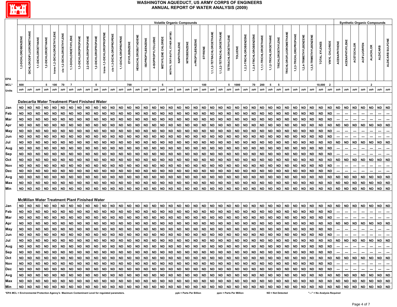

|                                                                                                 | <b>Synthetic Organic Compounds</b><br><b>Volatile Organic Compounds</b> |                         |                                                      |                    |                            |                          |                      |                     |                     |                     |                           |                         |                     |           |                            |                         |                    |                           |                   |             |              |                         |           |                           |                           |                            |           |                        |                        |                       |                       |                          |                               |                        |                        |                      |                                |                         |                          |                          |                          |                    |                 |                 |                          |
|-------------------------------------------------------------------------------------------------|-------------------------------------------------------------------------|-------------------------|------------------------------------------------------|--------------------|----------------------------|--------------------------|----------------------|---------------------|---------------------|---------------------|---------------------------|-------------------------|---------------------|-----------|----------------------------|-------------------------|--------------------|---------------------------|-------------------|-------------|--------------|-------------------------|-----------|---------------------------|---------------------------|----------------------------|-----------|------------------------|------------------------|-----------------------|-----------------------|--------------------------|-------------------------------|------------------------|------------------------|----------------------|--------------------------------|-------------------------|--------------------------|--------------------------|--------------------------|--------------------|-----------------|-----------------|--------------------------|
| <b>EPA</b>                                                                                      | 1,2-DICHLOROBENZENE                                                     | DICHLORODIFLUOROMETHANE | 1,1-DICHLOROETHANE                                   | 1,2-DICHLOROETHANE | trans-1,2-DICHLOROETHYLENE | cis-1,2-DICHLOROETHYLENE | 1,1-DICHLOROETHYLENE | 1,3-DICHLOROPROPANE | 2,2-DICHLOROPROPANE | 1,2-DICHLOROPROPANE | trans-1,3-DICHLOROPROPENE | cis-1,3-DICHLOROPROPENE | 1,1-DICHLOROPROPENE |           | <b>HEXACHLOROBUTADIENE</b> | <b>ISOPROPYLBENZENE</b> | 4-ISOPROPYLTOLUENE | <b>METHYLENE CHLORIDE</b> | METHYL TERT-BUTYL | NAPHTHALENE | NITROBENZENE | n-PROPYLBENZENE         | STYRENE   | 1,1,1,2-TETRACHLOROETHANE | 1,1,2,2-TETRACHLOROETHANE | <b>TETRACHLOROETHYLENE</b> |           | 1,2,3-TRICHLOROBENZENE | 1,2,4-TRICHLOROBENZENE | 1,1,1-TRICHLOROETHANE | 1,1,2-TRICHLOROETHANE | <b>TRICHLOROETHYLENE</b> | <b>TRICHLOROFLUOROMETHANE</b> | 1,2,3-TRICHLOROPROPANE | 1,2,4-TRIMETHYLBENZENE | 3,5-TRIMETHYLBENZENE | <b>XYLENES</b><br><b>TOTAL</b> | VINYL CHLORIDE          | ACENAPHTHENE             | ACENAPHTHYLEN            | ACETOCHLOR               | <b>ACIFLUORFEN</b> | <b>ALACHLOR</b> | <b>ALDICARB</b> | ALDICARB SULFONE         |
| MCL*                                                                                            | 600                                                                     |                         |                                                      |                    | 5 100                      | 70                       | $\overline{7}$       |                     |                     | 5                   |                           |                         |                     | 700       |                            |                         |                    | 5                         |                   |             |              |                         | 100       |                           |                           |                            | 5 1000    |                        | 70 200                 |                       | 5                     | - 5                      |                               |                        |                        |                      | 10,000                         | $\overline{\mathbf{2}}$ |                          |                          |                          |                    | $\overline{2}$  |                 |                          |
| <b>Units</b>                                                                                    | ppb                                                                     | ppb                     | ppb                                                  | ppb                | ppb                        | ppb                      | ppb                  | ppb                 | ppb                 | ppb                 | ppb                       | ppb                     | ppb                 | ppb       | ppb                        | ppb                     | ppb                | ppb                       | ppb               | ppb         | ppb          | ppb                     | ppb       | ppb                       | ppb                       | ppb                        | ppb       | ppb                    | ppb                    | ppb                   | ppb                   | ppb                      | ppb                           | ppb                    | ppb                    | ppb                  | ppb                            | ppb                     | ppb                      | ppb                      | ppb                      | ppb                | ppb             | ppb             | ppb                      |
|                                                                                                 |                                                                         |                         | Dalecarlia Water Treatment Plant Finished Water      |                    |                            |                          |                      |                     |                     |                     |                           |                         |                     |           |                            |                         |                    |                           |                   |             |              |                         |           |                           |                           |                            |           |                        |                        |                       |                       |                          |                               |                        |                        |                      |                                |                         |                          |                          |                          |                    |                 |                 |                          |
| <b>Jan</b>                                                                                      | <b>ND</b>                                                               | <b>ND</b>               | <b>ND</b>                                            | <b>ND</b>          | <b>ND</b>                  | <b>ND</b>                | <b>ND</b>            | <b>ND</b>           | <b>ND</b>           | <b>ND</b>           | <b>ND</b>                 | <b>ND</b>               | <b>ND</b>           | <b>ND</b> | <b>ND</b>                  | <b>ND</b>               | <b>ND</b>          | <b>ND</b>                 | <b>ND</b>         | <b>ND</b>   | ND           | <b>ND</b>               | <b>ND</b> | <b>ND</b>                 | <b>ND</b>                 | <b>ND</b>                  | <b>ND</b> | <b>ND</b>              | <b>ND</b>              | <b>ND</b>             | <b>ND</b>             | <b>ND</b>                | <b>ND</b>                     | ND                     | <b>ND</b>              | <b>ND</b>            | <b>ND</b>                      | <b>ND</b>               | <b>ND</b>                | <b>ND</b>                | <b>ND</b>                | <b>ND</b>          | <b>ND</b>       | <b>ND</b>       | <b>ND</b>                |
| <b>Feb</b>                                                                                      | <b>ND</b>                                                               | <b>ND</b>               | <b>ND</b>                                            | <b>ND</b>          | <b>ND</b>                  | <b>ND</b>                | <b>ND</b>            | <b>ND</b>           | <b>ND</b>           | <b>ND</b>           | <b>ND</b>                 | <b>ND</b>               | <b>ND</b>           | <b>ND</b> | <b>ND</b>                  | <b>ND</b>               | <b>ND</b>          | <b>ND</b>                 | <b>ND</b>         | <b>ND</b>   | <b>ND</b>    | <b>ND</b>               | <b>ND</b> | <b>ND</b>                 | <b>ND</b>                 | <b>ND</b>                  | <b>ND</b> | <b>ND</b>              | <b>ND</b>              | <b>ND</b>             | <b>ND</b>             | <b>ND</b>                | <b>ND</b>                     | <b>ND</b>              | <b>ND</b>              | <b>ND</b>            | <b>ND</b>                      | <b>ND</b>               |                          |                          |                          |                    |                 |                 |                          |
| Mar                                                                                             | ND                                                                      | <b>ND</b>               | <b>ND</b>                                            | ND                 | <b>ND</b>                  | <b>ND</b>                | ND                   | <b>ND</b>           | ND                  | <b>ND</b>           | <b>ND</b>                 | ND                      | <b>ND</b>           | <b>ND</b> | <b>ND</b>                  | <b>ND</b>               | <b>ND</b>          | <b>ND</b>                 | <b>ND</b>         | <b>ND</b>   | ND.          | <b>ND</b>               | <b>ND</b> | <b>ND</b>                 | <b>ND</b>                 | <b>ND</b>                  | <b>ND</b> | <b>ND</b>              | <b>ND</b>              | <b>ND</b>             | <b>ND</b>             | <b>ND</b>                | ND                            | <b>ND</b>              | <b>ND</b>              | <b>ND</b>            | <b>ND</b>                      | <b>ND</b>               |                          |                          |                          |                    |                 |                 |                          |
| Apr                                                                                             | ND                                                                      | <b>ND</b>               | <b>ND</b>                                            | ND                 | <b>ND</b>                  | <b>ND</b>                | ND                   | <b>ND</b>           | ND                  | <b>ND</b>           | <b>ND</b>                 | ND                      | <b>ND</b>           | ND        | <b>ND</b>                  | <b>ND</b>               | ND                 | <b>ND</b>                 | <b>ND</b>         | <b>ND</b>   | <b>ND</b>    | ND                      | <b>ND</b> | ND                        | <b>ND</b>                 | ND.                        | ND        | ND                     | ND                     | ND                    | ND.                   | <b>ND</b>                | ND                            | <b>ND</b>              | <b>ND</b>              | ND                   | <b>ND</b>                      | <b>ND</b>               | ND.                      | ND                       | ND                       | ND                 | ND              | ND              | <b>ND</b>                |
| May                                                                                             | ND                                                                      | <b>ND</b>               | <b>ND</b>                                            | ND                 | <b>ND</b>                  | <b>ND</b>                | <b>ND</b>            | <b>ND</b>           | <b>ND</b>           | <b>ND</b>           | <b>ND</b>                 | <b>ND</b>               | <b>ND</b>           | <b>ND</b> | <b>ND</b>                  | ND                      | <b>ND</b>          | <b>ND</b>                 | <b>ND</b>         | <b>ND</b>   | <b>ND</b>    | <b>ND</b>               | <b>ND</b> | <b>ND</b>                 | <b>ND</b>                 | <b>ND</b>                  | ND        | <b>ND</b>              | <b>ND</b>              | <b>ND</b>             | <b>ND</b>             | <b>ND</b>                | <b>ND</b>                     | <b>ND</b>              | <b>ND</b>              | ND                   | <b>ND</b>                      | <b>ND</b>               |                          |                          |                          |                    |                 |                 |                          |
| Jun                                                                                             | ND                                                                      | <b>ND</b>               | <b>ND</b>                                            | <b>ND</b>          | <b>ND</b>                  | <b>ND</b>                | ND                   | <b>ND</b>           | <b>ND</b>           | <b>ND</b>           | <b>ND</b>                 | <b>ND</b>               | <b>ND</b>           | <b>ND</b> | <b>ND</b>                  | ND                      | <b>ND</b>          | <b>ND</b>                 | <b>ND</b>         | <b>ND</b>   | ND           | <b>ND</b>               | <b>ND</b> | <b>ND</b>                 | <b>ND</b>                 | ND                         | ND        | <b>ND</b>              | <b>ND</b>              | ND                    | ND                    | <b>ND</b>                | <b>ND</b>                     | ND                     | ND                     | <b>ND</b>            | <b>ND</b>                      | <b>ND</b>               |                          |                          |                          |                    |                 |                 |                          |
| Jul                                                                                             | ND                                                                      | <b>ND</b>               | <b>ND</b>                                            | ND                 | <b>ND</b>                  | <b>ND</b>                | ND                   | <b>ND</b>           | ND.                 | <b>ND</b>           | <b>ND</b>                 | <b>ND</b>               | <b>ND</b>           | <b>ND</b> | <b>ND</b>                  | <b>ND</b>               | <b>ND</b>          | <b>ND</b>                 | <b>ND</b>         | <b>ND</b>   | ND.          | <b>ND</b>               | <b>ND</b> | <b>ND</b>                 | <b>ND</b>                 | ND.                        | ND        | <b>ND</b>              | <b>ND</b>              | ND                    | ND.                   | <b>ND</b>                | <b>ND</b>                     | <b>ND</b>              | ND                     | <b>ND</b>            | <b>ND</b>                      | ND                      | ND                       | ND                       | <b>ND</b>                | ND                 | <b>ND</b>       | <b>ND</b>       | <b>ND</b>                |
| Aug                                                                                             | <b>ND</b>                                                               | <b>ND</b>               | <b>ND</b>                                            | ND                 | <b>ND</b>                  | <b>ND</b>                | <b>ND</b>            | <b>ND</b>           | ND                  | <b>ND</b>           | <b>ND</b>                 | <b>ND</b>               | <b>ND</b>           | <b>ND</b> | <b>ND</b>                  | <b>ND</b>               | <b>ND</b>          | <b>ND</b>                 | <b>ND</b>         | <b>ND</b>   | <b>ND</b>    | <b>ND</b>               | <b>ND</b> | <b>ND</b>                 | <b>ND</b>                 | ND.                        | <b>ND</b> | <b>ND</b>              | <b>ND</b>              | <b>ND</b>             | <b>ND</b>             | <b>ND</b>                | <b>ND</b>                     | <b>ND</b>              | <b>ND</b>              | ND                   | <b>ND</b>                      | <b>ND</b>               |                          |                          |                          |                    |                 |                 |                          |
| Sep                                                                                             | <b>ND</b>                                                               | <b>ND</b>               | <b>ND</b>                                            | ND                 | <b>ND</b>                  | <b>ND</b>                | <b>ND</b>            | <b>ND</b>           | ND                  | <b>ND</b>           | <b>ND</b>                 | ND                      | <b>ND</b>           | ND        | <b>ND</b>                  | ND                      | <b>ND</b>          | <b>ND</b>                 | <b>ND</b>         | <b>ND</b>   | <b>ND</b>    | <b>ND</b>               | <b>ND</b> | <b>ND</b>                 | <b>ND</b>                 | <b>ND</b>                  | ND        | <b>ND</b>              | <b>ND</b>              | ND                    | <b>ND</b>             | <b>ND</b>                | <b>ND</b>                     | <b>ND</b>              | <b>ND</b>              | <b>ND</b>            | <b>ND</b>                      | <b>ND</b>               |                          |                          |                          |                    |                 |                 |                          |
| Oct                                                                                             | <b>ND</b>                                                               | <b>ND</b>               | <b>ND</b>                                            | ND                 | <b>ND</b>                  | ND                       | <b>ND</b>            | <b>ND</b>           | ND                  | <b>ND</b>           | <b>ND</b>                 | ND                      | <b>ND</b>           | ND        | <b>ND</b>                  | ND                      | <b>ND</b>          | <b>ND</b>                 | <b>ND</b>         | ND          | ND           | <b>ND</b>               | <b>ND</b> | ND                        | ND                        | ND                         | ND        | <b>ND</b>              | ND                     | ND                    | <b>ND</b>             | <b>ND</b>                | ND                            | <b>ND</b>              | <b>ND</b>              | <b>ND</b>            | <b>ND</b>                      | <b>ND</b>               | ND                       | ND                       | ND                       | <b>ND</b>          | ND              | ND              | <b>ND</b>                |
| Nov                                                                                             | ND                                                                      | <b>ND</b>               | <b>ND</b>                                            | ND                 | <b>ND</b>                  | ND                       | ND                   | <b>ND</b>           | ND                  | <b>ND</b>           | <b>ND</b>                 | <b>ND</b>               | <b>ND</b>           | ND        | <b>ND</b>                  | ND                      | <b>ND</b>          | <b>ND</b>                 | <b>ND</b>         | <b>ND</b>   | ND           | <b>ND</b>               | <b>ND</b> | ND                        | ND                        | ND                         | ND        | ND                     | <b>ND</b>              | ND                    | <b>ND</b>             | <b>ND</b>                | <b>ND</b>                     | <b>ND</b>              | ND                     | ND                   | <b>ND</b>                      | <b>ND</b>               |                          |                          |                          |                    |                 |                 |                          |
| Dec                                                                                             | ND                                                                      | <b>ND</b>               | <b>ND</b>                                            | <b>ND</b>          | <b>ND</b>                  | ND                       | <b>ND</b>            | <b>ND</b>           | <b>ND</b>           | <b>ND</b>           | <b>ND</b>                 | ND                      | <b>ND</b>           | <b>ND</b> | <b>ND</b>                  | ND                      | <b>ND</b>          | <b>ND</b>                 | <b>ND</b>         | <b>ND</b>   | <b>ND</b>    | <b>ND</b>               | <b>ND</b> | <b>ND</b>                 | <b>ND</b>                 | <b>ND</b>                  | <b>ND</b> | <b>ND</b>              | <b>ND</b>              | <b>ND</b>             | <b>ND</b>             | <b>ND</b>                | <b>ND</b>                     | <b>ND</b>              | <b>ND</b>              | <b>ND</b>            | <b>ND</b>                      | <b>ND</b>               |                          |                          |                          |                    |                 |                 |                          |
| Avg                                                                                             | ND                                                                      | <b>ND</b>               | <b>ND</b>                                            | <b>ND</b>          | <b>ND</b>                  | <b>ND</b>                | <b>ND</b>            | <b>ND</b>           | <b>ND</b>           | <b>ND</b>           | <b>ND</b>                 | <b>ND</b>               | <b>ND</b>           | <b>ND</b> | <b>ND</b>                  | <b>ND</b>               | <b>ND</b>          | <b>ND</b>                 | <b>ND</b>         | <b>ND</b>   | <b>ND</b>    | <b>ND</b>               | <b>ND</b> | <b>ND</b>                 | <b>ND</b>                 | <b>ND</b>                  | <b>ND</b> | <b>ND</b>              | <b>ND</b>              | <b>ND</b>             | <b>ND</b>             | <b>ND</b>                | <b>ND</b>                     | <b>ND</b>              | <b>ND</b>              | <b>ND</b>            | <b>ND</b>                      | <b>ND</b>               | <b>ND</b>                | <b>ND</b>                | <b>ND</b>                | <b>ND</b>          | <b>ND</b>       | <b>ND</b>       | <b>ND</b>                |
| Max                                                                                             | <b>ND</b>                                                               | <b>ND</b>               | <b>ND</b>                                            | <b>ND</b>          | <b>ND</b>                  | <b>ND</b>                | <b>ND</b>            | <b>ND</b>           | <b>ND</b>           | <b>ND</b>           | <b>ND</b>                 | <b>ND</b>               | <b>ND</b>           | <b>ND</b> | <b>ND</b>                  | <b>ND</b>               | <b>ND</b>          | <b>ND</b>                 | <b>ND</b>         | <b>ND</b>   | <b>ND</b>    | <b>ND</b>               | <b>ND</b> | <b>ND</b>                 | <b>ND</b>                 | <b>ND</b>                  | <b>ND</b> | <b>ND</b>              | <b>ND</b>              | <b>ND</b>             | <b>ND</b>             | <b>ND</b>                | <b>ND</b>                     | <b>ND</b>              | <b>ND</b>              | <b>ND</b>            | <b>ND</b>                      | <b>ND</b>               | <b>ND</b>                | <b>ND</b>                | <b>ND</b>                | <b>ND</b>          | <b>ND</b>       | <b>ND</b>       | <b>ND</b>                |
| Min                                                                                             | <b>ND</b>                                                               | <b>ND</b>               | <b>ND</b>                                            | <b>ND</b>          | <b>ND</b>                  | <b>ND</b>                | <b>ND</b>            | <b>ND</b>           | <b>ND</b>           | <b>ND</b>           | <b>ND</b>                 | <b>ND</b>               | <b>ND</b>           | <b>ND</b> | <b>ND</b>                  | <b>ND</b>               | <b>ND</b>          | <b>ND</b>                 | <b>ND</b>         | <b>ND</b>   | <b>ND</b>    | <b>ND</b>               | <b>ND</b> | <b>ND</b>                 | <b>ND</b>                 | ND                         | <b>ND</b> | <b>ND</b>              | <b>ND</b>              | <b>ND</b>             | <b>ND</b>             | <b>ND</b>                | <b>ND</b>                     | <b>ND</b>              | <b>ND</b>              | <b>ND</b>            | <b>ND</b>                      | <b>ND</b>               | ND                       | <b>ND</b>                | <b>ND</b>                | <b>ND</b>          | <b>ND</b>       | <b>ND</b>       | I ND                     |
|                                                                                                 |                                                                         |                         |                                                      |                    |                            |                          |                      |                     |                     |                     |                           |                         |                     |           |                            |                         |                    |                           |                   |             |              |                         |           |                           |                           |                            |           |                        |                        |                       |                       |                          |                               |                        |                        |                      |                                |                         |                          |                          |                          |                    |                 |                 |                          |
|                                                                                                 |                                                                         |                         | <b>McMillan Water Treatment Plant Finished Water</b> |                    |                            |                          |                      |                     |                     |                     |                           |                         |                     |           |                            |                         |                    |                           |                   |             |              |                         |           |                           |                           |                            |           |                        |                        |                       |                       |                          |                               |                        |                        |                      |                                |                         |                          |                          |                          |                    |                 |                 |                          |
| <b>Jan</b>                                                                                      | <b>ND</b>                                                               | <b>ND</b>               | <b>ND</b>                                            | <b>ND</b>          | <b>ND</b>                  | <b>ND</b>                | ND                   | <b>ND</b>           | ND                  | <b>ND</b>           | <b>ND</b>                 | <b>ND</b>               | <b>ND</b>           | <b>ND</b> | <b>ND</b>                  | <b>ND</b>               | <b>ND</b>          | <b>ND</b>                 | <b>ND</b>         | <b>ND</b>   | ND           | ND                      | <b>ND</b> | ND                        | ND                        | ND                         | ND        | ND                     | ND                     | <b>ND</b>             | <b>ND</b>             | <b>ND</b>                | ND                            | ND                     | <b>ND</b>              | ND                   | <b>ND</b>                      | ND                      | ND                       | <b>ND</b>                | <b>ND</b>                | ND ND              |                 | <b>ND</b>       | <b>ND</b>                |
| Feb                                                                                             | <b>ND</b>                                                               | <b>ND</b>               | <b>ND</b>                                            | ND                 | <b>ND</b>                  | <b>ND</b>                | <b>ND</b>            | <b>ND</b>           | ND.                 | <b>ND</b>           | <b>ND</b>                 | <b>ND</b>               | <b>ND</b>           | <b>ND</b> | <b>ND</b>                  | <b>ND</b>               | <b>ND</b>          | <b>ND</b>                 | <b>ND</b>         | <b>ND</b>   | ND.          | <b>ND</b>               | <b>ND</b> | <b>ND</b>                 | <b>ND</b>                 | <b>ND</b>                  | <b>ND</b> | <b>ND</b>              | <b>ND</b>              | <b>ND</b>             | <b>ND</b>             | <b>ND</b>                | <b>ND</b>                     | <b>ND</b>              | <b>ND</b>              | <b>ND</b>            | <b>ND</b>                      | <b>ND</b>               |                          |                          |                          |                    |                 |                 |                          |
| Mar                                                                                             | <b>ND</b>                                                               | <b>ND</b>               | <b>ND</b>                                            | ND                 | ND                         | <b>ND</b>                | <b>ND</b>            | <b>ND</b>           | ND                  | <b>ND</b>           | <b>ND</b>                 | <b>ND</b>               | <b>ND</b>           | <b>ND</b> | <b>ND</b>                  | <b>ND</b>               | <b>ND</b>          | <b>ND</b>                 | <b>ND</b>         | <b>ND</b>   | ND           | <b>ND</b>               | <b>ND</b> | <b>ND</b>                 | <b>ND</b>                 | ND.                        | ND        | <b>ND</b>              | <b>ND</b>              | <b>ND</b>             | ND                    | <b>ND</b>                | <b>ND</b>                     | <b>ND</b>              | ND.                    | ND                   | <b>ND</b>                      | <b>ND</b>               |                          |                          |                          |                    |                 |                 |                          |
| Apr                                                                                             | <b>ND</b>                                                               | <b>ND</b>               | <b>ND</b>                                            | ND                 | <b>ND</b>                  | <b>ND</b>                | <b>ND</b>            | <b>ND</b>           | ND                  | <b>ND</b>           | <b>ND</b>                 | <b>ND</b>               | <b>ND</b>           | ND        | <b>ND</b>                  | ND                      | <b>ND</b>          | <b>ND</b>                 | <b>ND</b>         | <b>ND</b>   | ND           | <b>ND</b>               | <b>ND</b> | ND                        | <b>ND</b>                 | ND                         | ND        | ND                     | ND                     | <b>ND</b>             | ND                    | <b>ND</b>                | <b>ND</b>                     | <b>ND</b>              | <b>ND</b>              | <b>ND</b>            | <b>ND</b>                      | <b>ND</b>               | <b>ND</b>                | <b>ND</b>                | <b>ND</b>                | <b>ND</b>          | <b>ND</b>       | <b>ND</b>       | <b>ND</b>                |
| May                                                                                             | ND                                                                      | <b>ND</b>               | <b>ND</b>                                            | ND                 | <b>ND</b>                  | <b>ND</b>                | ND                   | <b>ND</b>           | ND                  | ND                  | ND                        | ND                      | <b>ND</b>           | ND        | ND                         | ND                      | ND                 | <b>ND</b>                 | ND                | ND          | ND           | ND                      |           | ND                        | ND                        | ND                         | ND        | ND                     | ND                     | ND                    | ND                    | <b>ND</b>                | ND                            | <b>ND</b>              | ND.                    | ND                   | <b>ND</b>                      | <b>ND</b>               |                          |                          |                          |                    |                 |                 |                          |
| Jun                                                                                             | ND                                                                      | ND                      | ND                                                   | ND                 | ND                         | ND                       | ND                   | <b>ND</b>           | ND                  | ND                  | ND                        | ND                      | <b>ND</b>           | ND        | ND                         | ND                      | <b>ND</b>          | <b>ND</b>                 | ND                | ND          | ND           | ND                      | ND        | ND                        | ND                        | ND                         | ND        | ND                     | ND                     | ND                    | ND                    | <b>ND</b>                | ND                            | <b>ND</b>              | ND                     | ND                   | <b>ND</b>                      | ND                      |                          |                          |                          |                    |                 |                 |                          |
| Jul                                                                                             | <b>ND</b>                                                               | <b>ND</b>               | <b>ND</b>                                            | <b>ND</b>          | <b>ND</b>                  | <b>ND</b>                | <b>ND</b>            | <b>ND</b>           | ND                  | <b>ND</b>           | <b>ND</b>                 | <b>ND</b>               | <b>ND</b>           | ND        | ND                         | ND                      | <b>ND</b>          | <b>ND</b>                 | <b>ND</b>         | ND          | <b>ND</b>    | <b>ND</b>               | <b>ND</b> | <b>ND</b>                 | ND                        | ND                         | <b>ND</b> | <b>ND</b>              | <b>ND</b>              | ND                    | <b>ND</b>             | <b>ND</b>                | <b>ND</b>                     | <b>ND</b>              | <b>ND</b>              | <b>ND</b>            | <b>ND</b>                      | <b>ND</b>               | <b>ND</b>                | <b>ND</b>                | <b>ND</b>                | <b>ND</b>          | <b>ND</b>       | <b>ND</b>       | <b>ND</b>                |
| Aug                                                                                             |                                                                         |                         |                                                      |                    |                            |                          |                      |                     |                     |                     |                           |                         |                     |           |                            |                         |                    |                           |                   |             |              |                         |           |                           |                           |                            |           |                        |                        |                       |                       |                          |                               |                        |                        |                      |                                |                         | $\sim$                   | $\overline{\phantom{a}}$ | $\hspace{0.05cm} \cdots$ | ---                | $\sim$          |                 | $\hspace{0.05cm} \cdots$ |
| Sep                                                                                             |                                                                         |                         |                                                      |                    |                            |                          |                      |                     |                     |                     |                           |                         |                     |           |                            |                         |                    |                           |                   |             |              |                         |           |                           |                           |                            |           |                        |                        |                       |                       |                          |                               |                        |                        |                      |                                |                         |                          |                          |                          |                    |                 |                 |                          |
| Oct                                                                                             |                                                                         |                         |                                                      |                    |                            |                          |                      |                     |                     |                     |                           |                         |                     |           |                            |                         |                    |                           |                   |             |              |                         |           |                           |                           |                            |           |                        |                        |                       |                       |                          |                               |                        |                        |                      |                                |                         |                          |                          |                          |                    | ND ND ND ND ND  |                 |                          |
| Nov                                                                                             |                                                                         |                         |                                                      |                    |                            |                          |                      |                     |                     |                     |                           |                         |                     |           |                            |                         |                    |                           |                   |             |              |                         |           |                           |                           |                            |           |                        |                        |                       |                       |                          |                               |                        |                        |                      |                                |                         | $\overline{\phantom{a}}$ | ---                      | $\overline{\phantom{a}}$ | ---                |                 |                 |                          |
| Dec                                                                                             |                                                                         |                         |                                                      |                    |                            |                          |                      |                     |                     |                     |                           |                         |                     |           |                            |                         |                    |                           |                   |             |              |                         |           |                           |                           |                            |           |                        |                        |                       |                       |                          |                               |                        |                        |                      | ND ND                          |                         |                          |                          |                          |                    |                 |                 |                          |
| Avg                                                                                             |                                                                         |                         |                                                      |                    |                            |                          |                      |                     |                     |                     |                           |                         |                     |           |                            |                         |                    |                           |                   |             |              |                         |           |                           |                           |                            |           |                        |                        |                       |                       |                          |                               |                        |                        |                      |                                |                         |                          |                          |                          |                    |                 |                 |                          |
| Max                                                                                             |                                                                         |                         |                                                      |                    |                            |                          |                      |                     |                     |                     |                           |                         |                     |           |                            |                         |                    |                           |                   |             |              |                         |           |                           |                           |                            |           |                        |                        |                       |                       |                          |                               |                        |                        |                      |                                |                         |                          |                          |                          |                    |                 |                 |                          |
| Min                                                                                             |                                                                         |                         |                                                      |                    |                            |                          |                      |                     |                     |                     |                           |                         |                     |           |                            |                         |                    |                           |                   |             |              |                         |           |                           |                           |                            |           |                        |                        |                       |                       |                          |                               |                        |                        |                      |                                |                         |                          |                          |                          |                    |                 |                 |                          |
| EPA MCL = Environmental Protection Agency's Maximum Contaminant Level for regulated parameters. |                                                                         |                         |                                                      |                    |                            |                          |                      |                     |                     |                     |                           |                         |                     |           |                            |                         |                    |                           |                   |             |              | ppb = Parts Per Billion |           |                           |                           | ppm = Parts Per Million    |           |                        |                        |                       |                       | <b>ND = Not Detected</b> |                               |                        |                        |                      | "---" = No Analysis Required   |                         |                          |                          |                          |                    |                 |                 |                          |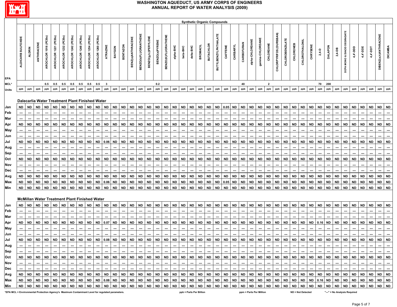

|            |                    |           |            |                    |               |                      |               |               |                               |                                                      |                          |           |                 |                          |                      |                             |                |                     |           |           |           |                |                  | <b>Synthetic Organic Compounds</b> |           |           |                          |                |                 |                |                          |                        |           |                          |                |                          |                |           |                            |           |                                                    |           |                       |                |
|------------|--------------------|-----------|------------|--------------------|---------------|----------------------|---------------|---------------|-------------------------------|------------------------------------------------------|--------------------------|-----------|-----------------|--------------------------|----------------------|-----------------------------|----------------|---------------------|-----------|-----------|-----------|----------------|------------------|------------------------------------|-----------|-----------|--------------------------|----------------|-----------------|----------------|--------------------------|------------------------|-----------|--------------------------|----------------|--------------------------|----------------|-----------|----------------------------|-----------|----------------------------------------------------|-----------|-----------------------|----------------|
| EPA        | ALDICARB SULFOXIDE |           | ANTHRACENE | AROCHLOR 1016 (PCB | AROCHLOR 1221 | AROCHLOR 1232 (PCBs) | AROCHLOR 1242 | AROCHLOR 1248 | (PCBs)<br>AROCHLOR 1254       | (PCBs)<br>AROCHLOR 1260                              | ATRAZINE                 | BAYGON    | <b>BENTAZON</b> | BENZ(a)ANTHRACENE        | BENZO(b)FLUORANTHENE | <b>BENZO(g,h,i)PERYLENE</b> | BENZO(a)PYRENE | BENZO(K)FLUORATHENE | alpha-BHC | beta-BHC  | delta-BHC | <b>BROMACI</b> | <b>BUTACHLOR</b> | BUTYLBENZYLPHTHALATE               |           | CARBARY   | CARBOFURAN               | Ipha-CHLORDANE | gamma-CHLORDANE | CHLORDANE      | CHLORPYRIFOS (DURSBAN)   | <b>CHLOROBENZILATE</b> | CHLORONEB | CHLOROTHALONIL           | <b>CHRYSEN</b> | $2,4 - D$                | <b>DALAPON</b> | 2,4-DB    | DEGRADATE<br>MONO & DIACID | 4,4'-DDD  | 4,4'-DDE                                           | 14,4'-DDT | DIBENZ(a,h)ANTHRACENE | <b>DICAMBA</b> |
| MCL*       |                    |           |            |                    |               |                      |               |               | $0.5$ 0.5 0.5 0.5 0.5 0.5 0.5 |                                                      | $\overline{\phantom{a}}$ |           |                 |                          |                      |                             | 0.2            |                     |           |           |           |                |                  |                                    |           |           | 40                       |                |                 | $\overline{2}$ |                          |                        |           |                          |                | 70 200                   |                |           |                            |           |                                                    |           |                       |                |
| Units      | ppb                | ppb       | ppb        | ppb                | ppb           | ppb                  | ppb           | ppb           | ppb                           | ppb                                                  | ppb                      | ppb       | ppb             | ppb                      | ppb                  | ppb                         | ppb            | ppb                 | ppb       | ppb       | ppb       | ppb            | ppb              | ppb                                | ppb       | ppb       | ppb                      | ppb            | ppb             | ppb            | ppb                      | ppb                    | ppb       | ppb                      | ppb            | ppb                      | ppb            | ppb       | ppb                        | ppb       | ppb                                                | ppb       | ppb                   | ppb            |
|            |                    |           |            |                    |               |                      |               |               |                               | Dalecarlia Water Treatment Plant Finished Water      |                          |           |                 |                          |                      |                             |                |                     |           |           |           |                |                  |                                    |           |           |                          |                |                 |                |                          |                        |           |                          |                |                          |                |           |                            |           |                                                    |           |                       |                |
| Jan        | ND.                | <b>ND</b> | <b>ND</b>  | <b>ND</b>          | <b>ND</b>     | <b>ND</b>            | <b>ND</b>     |               | ND ND                         | <b>ND</b>                                            | <b>ND</b>                | <b>ND</b> | <b>ND</b>       | <b>ND</b>                | ND.                  | <b>ND</b>                   | <b>ND</b>      | ND                  | ND        | <b>ND</b> | <b>ND</b> | <b>ND</b>      | <b>ND</b>        |                                    | ND 0.05   | ND        | <b>ND</b>                | <b>ND</b>      | <b>ND</b>       | <b>ND</b>      | <b>ND</b>                | ND ND                  |           | <b>ND</b>                | <b>ND</b>      | <b>ND</b>                | <b>ND</b>      | ND        | ND                         | <b>ND</b> | ND.                                                | <b>ND</b> | <b>ND</b>             | <b>ND</b>      |
| Feb        |                    |           |            |                    |               |                      |               |               |                               |                                                      |                          |           |                 |                          |                      |                             |                |                     |           |           |           |                |                  |                                    |           |           |                          |                |                 |                |                          |                        |           |                          |                |                          |                |           |                            |           |                                                    |           |                       |                |
| Mar        |                    |           |            |                    |               |                      |               |               |                               |                                                      |                          |           |                 |                          |                      |                             |                |                     |           |           | <b>ND</b> |                |                  | <b>ND</b>                          | <b>ND</b> | <b>ND</b> |                          |                |                 |                | <b>ND</b>                |                        |           |                          |                |                          |                |           |                            |           |                                                    |           |                       | <b>ND</b>      |
| Apr<br>May | ND                 | <b>ND</b> | <b>ND</b>  | ND                 | <b>ND</b>     | <b>ND</b>            | <b>ND</b>     | <b>ND</b>     | ND                            | ND                                                   | <b>ND</b>                | <b>ND</b> | <b>ND</b>       | <b>ND</b>                | ND                   | <b>ND</b>                   | ND             | ND                  | <b>ND</b> | ND        |           | ND             | <b>ND</b>        |                                    |           |           | <b>ND</b>                | <b>ND</b>      | <b>ND</b>       | <b>ND</b>      |                          | <b>ND</b>              | ND        | <b>ND</b>                | <b>ND</b>      | <b>ND</b>                | <b>ND</b>      | ND        | ND                         | <b>ND</b> | ND                                                 | ND        | <b>ND</b>             |                |
| Jun        |                    |           |            |                    |               |                      |               |               |                               |                                                      |                          |           |                 |                          |                      |                             |                |                     |           |           |           |                |                  |                                    |           |           |                          |                |                 |                |                          |                        |           |                          |                |                          |                |           |                            |           |                                                    |           |                       |                |
| Jul        | <b>ND</b>          | <b>ND</b> | ND         | <b>ND</b>          | ND.           | <b>ND</b>            | <b>ND</b>     | <b>ND</b>     | ND                            | ND                                                   | 0.06                     | ND        | <b>ND</b>       | <b>ND</b>                | ND                   | <b>ND</b>                   | ND             | ND                  | ND.       | <b>ND</b> | <b>ND</b> | <b>ND</b>      | <b>ND</b>        | <b>ND</b>                          | <b>ND</b> | <b>ND</b> | <b>ND</b>                | ND             | <b>ND</b>       | <b>ND</b>      | <b>ND</b>                | ND                     | <b>ND</b> | ND                       | <b>ND</b>      | ND                       | ND             | <b>ND</b> | ND                         | <b>ND</b> | ND                                                 | ND        | <b>ND</b>             | <b>ND</b>      |
| Aug        |                    | ---       |            |                    |               | $---$                | ---           |               |                               | ---                                                  | ---                      | ---       | ---             | $\overline{\phantom{a}}$ | ---                  | $\overline{\phantom{a}}$    | ---            |                     |           | ---       | $\sim$    | ---            | ---              | $\overline{\phantom{a}}$           | ---       | ---       | $\overline{\phantom{a}}$ | ---            | $--$            | ---            | ---                      | ---                    |           | $\overline{\phantom{a}}$ | ---            | $\overline{\phantom{a}}$ | ---            | ---       |                            | ---       |                                                    |           |                       | ---            |
| Sep        |                    |           |            |                    |               |                      |               |               |                               |                                                      |                          |           |                 |                          |                      |                             |                |                     |           |           |           |                |                  |                                    |           |           |                          |                |                 |                |                          |                        |           |                          |                |                          |                |           |                            |           |                                                    |           |                       |                |
| Oct        | <b>ND</b>          | <b>ND</b> | <b>ND</b>  | ND                 | <b>ND</b>     | <b>ND</b>            | <b>ND</b>     | <b>ND</b>     | <b>ND</b>                     | ND                                                   | <b>ND</b>                | <b>ND</b> | <b>ND</b>       | <b>ND</b>                | ND                   | <b>ND</b>                   | <b>ND</b>      | <b>ND</b>           | <b>ND</b> | <b>ND</b> | <b>ND</b> | ND             | <b>ND</b>        | <b>ND</b>                          | <b>ND</b> | <b>ND</b> | <b>ND</b>                | <b>ND</b>      | <b>ND</b>       | <b>ND</b>      | <b>ND</b>                | <b>ND</b>              | <b>ND</b> | <b>ND</b>                | <b>ND</b>      | <b>ND</b>                | ND.            | <b>ND</b> | ND                         | <b>ND</b> | <b>ND</b>                                          | <b>ND</b> | <b>ND</b>             | <b>ND</b>      |
| Nov        |                    |           |            |                    |               |                      |               |               |                               |                                                      |                          |           |                 |                          |                      |                             |                |                     |           |           |           |                |                  |                                    | ---       | ---       |                          |                |                 |                | $\overline{\phantom{a}}$ |                        |           | ---                      |                |                          |                |           |                            |           |                                                    |           |                       |                |
| Dec        |                    |           |            |                    |               |                      |               |               |                               |                                                      |                          |           |                 |                          |                      |                             |                |                     |           |           |           |                |                  |                                    |           |           |                          |                |                 |                |                          |                        |           |                          |                |                          |                |           |                            |           |                                                    |           |                       |                |
| Avg        | ND                 | <b>ND</b> | ND         | ND                 | ND.           | ND                   | ND            | <b>ND</b>     | ND                            | <b>ND</b>                                            | <b>ND</b>                | ND        | <b>ND</b>       | <b>ND</b>                | <b>ND</b>            | <b>ND</b>                   | <b>ND</b>      | <b>ND</b>           | <b>ND</b> | <b>ND</b> | <b>ND</b> | <b>ND</b>      | <b>ND</b>        | <b>ND</b>                          | <b>ND</b> | <b>ND</b> | <b>ND</b>                | <b>ND</b>      | <b>ND</b>       | <b>ND</b>      | <b>ND</b>                | <b>ND</b>              | <b>ND</b> | <b>ND</b>                | <b>ND</b>      | <b>ND</b>                | <b>ND</b>      | <b>ND</b> | <b>ND</b>                  | <b>ND</b> | ND                                                 | <b>ND</b> | <b>ND</b>             | <b>ND</b>      |
| Max        | ND                 | <b>ND</b> | <b>ND</b>  | ND                 | <b>ND</b>     | ND                   | <b>ND</b>     | ND            | ND                            | ND                                                   | 0.06                     | ND        | <b>ND</b>       | ND                       | <b>ND</b>            | <b>ND</b>                   | ND             | ND                  | ND        | <b>ND</b> | <b>ND</b> | <b>ND</b>      | <b>ND</b>        | ND                                 | 0.05      | <b>ND</b> | ND                       | ND             | <b>ND</b>       | <b>ND</b>      | <b>ND</b>                | ND                     | <b>ND</b> | ND                       | <b>ND</b>      | <b>ND</b>                | ND             | ND        | ND                         | <b>ND</b> | ND                                                 | ND        | <b>ND</b>             | <b>ND</b>      |
| Min        | ND                 | <b>ND</b> | <b>ND</b>  | ND                 | <b>ND</b>     | ND                   | <b>ND</b>     | <b>ND</b>     | ND                            | <b>ND</b>                                            | <b>ND</b>                | <b>ND</b> | <b>ND</b>       | <b>ND</b>                | <b>ND</b>            | <b>ND</b>                   | <b>ND</b>      | <b>ND</b>           | <b>ND</b> | <b>ND</b> | <b>ND</b> | <b>ND</b>      | <b>ND</b>        | <b>ND</b>                          | <b>ND</b> | <b>ND</b> | <b>ND</b>                | <b>ND</b>      | <b>ND</b>       | <b>ND</b>      | <b>ND</b>                | <b>ND</b>              | <b>ND</b> | <b>ND</b>                | <b>ND</b>      | <b>ND</b>                | <b>ND</b>      | <b>ND</b> | <b>ND</b>                  | <b>ND</b> | <b>ND</b>                                          | ND        | <b>ND</b>             | <b>ND</b>      |
|            |                    |           |            |                    |               |                      |               |               |                               | <b>McMillan Water Treatment Plant Finished Water</b> |                          |           |                 |                          |                      |                             |                |                     |           |           |           |                |                  |                                    |           |           |                          |                |                 |                |                          |                        |           |                          |                |                          |                |           |                            |           |                                                    |           |                       |                |
| Jan        | <b>ND</b>          | <b>ND</b> | <b>ND</b>  | <b>ND</b>          | <b>ND</b>     | <b>ND</b>            | <b>ND</b>     | <b>ND</b>     | ND                            | <b>ND</b>                                            | <b>ND</b>                | <b>ND</b> | <b>ND</b>       | <b>ND</b>                | <b>ND</b>            | <b>ND</b>                   | <b>ND</b>      | <b>ND</b>           | <b>ND</b> | <b>ND</b> | <b>ND</b> | <b>ND</b>      | <b>ND</b>        | <b>ND</b>                          | <b>ND</b> | ND        | <b>ND</b>                | <b>ND</b>      | <b>ND</b>       | <b>ND</b>      | <b>ND</b>                | <b>ND</b>              | <b>ND</b> | <b>ND</b>                | <b>ND</b>      | <b>ND</b>                | <b>ND</b>      | ND        | <b>ND</b>                  | <b>ND</b> | ND ND                                              |           | <b>ND</b>             | <b>ND</b>      |
| Feb        |                    |           |            |                    |               |                      |               |               |                               |                                                      |                          |           |                 |                          |                      |                             |                |                     |           |           |           |                |                  |                                    |           |           |                          |                |                 |                |                          |                        |           |                          |                |                          |                |           |                            |           |                                                    |           |                       |                |
| Mar        |                    |           |            |                    |               |                      |               |               |                               |                                                      |                          |           |                 |                          |                      |                             |                |                     |           |           |           |                |                  |                                    |           |           |                          |                |                 |                |                          |                        |           |                          |                |                          |                |           |                            |           |                                                    |           |                       |                |
| Apr        | ND                 | <b>ND</b> | <b>ND</b>  | ND                 | <b>ND</b>     | ND                   | <b>ND</b>     | <b>ND</b>     | ND                            | ND                                                   | 0.07                     | <b>ND</b> | <b>ND</b>       | <b>ND</b>                | <b>ND</b>            | <b>ND</b>                   | ND.            | ND                  | <b>ND</b> | <b>ND</b> | <b>ND</b> | ND.            | <b>ND</b>        | <b>ND</b>                          | <b>ND</b> | <b>ND</b> | <b>ND</b>                | ND             | ND.             | <b>ND</b>      | <b>ND</b>                | ND                     | <b>ND</b> | <b>ND</b>                | <b>ND</b>      | 0.16                     | ND             | ND        | ND                         | <b>ND</b> | ND                                                 | <b>ND</b> | <b>ND</b>             | <b>ND</b>      |
| May        |                    |           |            |                    |               |                      |               |               |                               |                                                      |                          |           |                 | ---                      |                      |                             | ---            |                     |           |           |           |                |                  | ---                                | ---       |           |                          |                |                 | ---            | ---                      | ---                    |           | ---                      |                |                          |                |           |                            | ---       |                                                    |           |                       |                |
| Jun        |                    |           |            |                    |               |                      |               |               |                               |                                                      |                          |           |                 |                          |                      |                             |                |                     |           |           |           |                |                  |                                    |           |           |                          |                |                 |                |                          |                        |           |                          |                |                          |                |           |                            |           |                                                    |           |                       |                |
| Jul        | <b>ND</b>          | <b>ND</b> | <b>ND</b>  | ND                 | ND            | <b>ND</b>            | ND            | <b>ND</b>     | ND                            | <b>ND</b>                                            | 0.08                     | <b>ND</b> | <b>ND</b>       | <b>ND</b>                | <b>ND</b>            | <b>ND</b>                   | <b>ND</b>      | ND                  | <b>ND</b> | <b>ND</b> | <b>ND</b> | <b>ND</b>      | <b>ND</b>        | <b>ND</b>                          | <b>ND</b> | <b>ND</b> | <b>ND</b>                | <b>ND</b>      | <b>ND</b>       | <b>ND</b>      | <b>ND</b>                | <b>ND</b>              | <b>ND</b> | <b>ND</b>                | <b>ND</b>      | <b>ND</b>                | <b>ND</b>      | ND        | ND                         | <b>ND</b> | <b>ND</b>                                          | <b>ND</b> | <b>ND</b>             | <b>ND</b>      |
| Aug<br>Sep |                    | $-1$ $-1$ |            |                    |               |                      |               |               |                               |                                                      |                          |           |                 |                          |                      |                             |                |                     |           |           |           |                |                  |                                    |           |           |                          |                |                 |                |                          |                        |           |                          |                |                          |                |           |                            |           | ╶ <u>┉╎┉╎┈<u>╎┈╎┈╎┈╎┈╎┈╎┈╎┈╎┈╎┈╎┈╎┈╎┈╎┈╎</u>┈╎</u> |           |                       |                |
|            |                    |           |            |                    |               |                      |               |               |                               |                                                      |                          |           |                 |                          |                      |                             |                |                     |           |           |           |                |                  |                                    |           |           |                          |                |                 |                |                          |                        |           |                          |                |                          |                |           |                            |           |                                                    |           |                       |                |
| Nov        |                    | $-1 - 1$  |            |                    |               |                      |               |               |                               |                                                      |                          |           |                 |                          |                      |                             |                |                     |           |           |           |                |                  |                                    |           |           |                          |                |                 |                |                          |                        |           |                          |                |                          |                |           |                            |           |                                                    |           |                       | n — Li         |
| Dec        |                    | $-1-1$    |            |                    |               |                      |               |               |                               |                                                      |                          |           |                 |                          |                      |                             |                |                     |           |           |           |                |                  |                                    |           |           |                          |                |                 |                |                          |                        |           |                          |                |                          |                |           |                            |           |                                                    |           |                       | $\sim$         |
|            |                    |           |            |                    |               |                      |               |               |                               |                                                      |                          |           |                 |                          |                      |                             |                |                     |           |           |           |                |                  |                                    |           |           |                          |                |                 |                |                          |                        |           |                          |                |                          |                |           |                            |           |                                                    |           |                       |                |
|            |                    |           |            |                    |               |                      |               |               |                               |                                                      |                          |           |                 |                          |                      |                             |                |                     |           |           |           |                |                  |                                    |           |           |                          |                |                 |                |                          |                        |           |                          |                |                          |                |           |                            |           |                                                    |           |                       |                |
| Min        |                    |           |            |                    |               |                      |               |               |                               |                                                      |                          |           |                 |                          |                      |                             |                |                     |           |           |           |                |                  |                                    |           |           |                          |                |                 |                |                          |                        |           |                          |                |                          |                |           |                            |           |                                                    |           |                       |                |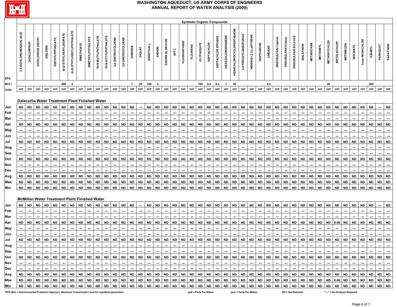

|            |                             |             |                   |           |                 |                          |                            |           |                          |                                                              |                     |                    |                    |                                      |               |                          |                |                 |           |              |                 |                   |                   | <b>Synthetic Organic Compounds</b> |                          |                                  |                     |                         |           |           |                      |                      |                              |                          |                   |                          |                     |                    |                   |                 |                 |                                                                             |           |           |
|------------|-----------------------------|-------------|-------------------|-----------|-----------------|--------------------------|----------------------------|-----------|--------------------------|--------------------------------------------------------------|---------------------|--------------------|--------------------|--------------------------------------|---------------|--------------------------|----------------|-----------------|-----------|--------------|-----------------|-------------------|-------------------|------------------------------------|--------------------------|----------------------------------|---------------------|-------------------------|-----------|-----------|----------------------|----------------------|------------------------------|--------------------------|-------------------|--------------------------|---------------------|--------------------|-------------------|-----------------|-----------------|-----------------------------------------------------------------------------|-----------|-----------|
| EPA        | ACID<br>3,5-DICHLOROBENZOIC | DICHLORPROF | DICHLORVOS (DDVP) |           | DIETHYLPHTHALAT | di-(2-ETHYLHEXYL)ADIPATE | di-(2-ETHYLHEXYL)PHTHALATE | ETHOAT    | <b>DIMETHYLPHTHALATE</b> | DI-N-BUTYLPHTHALATE                                          | DI-N-OCTYLPHTHALATE | 2,4-DINITROTOLUENE | 2,6-DINITROTOLUENE | <b>DINOSEB</b>                       | <b>DIQUAT</b> | ENDOTHAL                 | ENDRIN         | ENDRIN ALDEHYDE |           | FLUORANTHENE | <b>FLUORENE</b> | <b>GLYPHOSATE</b> | <b>HEPTACHLOR</b> | HEPTACHLOR EPOXID                  | <b>HEXACHLOROBENZENE</b> | <b>HEXACHLOROCYCLOPENTADIENE</b> | 3-HYDROXYCARBOFURAN | INDENO(1,2,3,c,d)PYRENE | SOPHORONE | LINDANE   | ENDOSULFAN I (alpha) | ENDOSULFAN II (beta) | <b>SULFATE</b><br>ENDOSULFAN | MALATHION                | <b>METHIOCARB</b> | <b>METHOMYL</b>          | <b>METHOXYCHLOR</b> | <b>METOLACHLOR</b> | <b>METRIBUZIN</b> | <b>MOLINATE</b> | trans-NONACHLOR | <b>OXAMYL</b>                                                               | PARAQUAT  | PARATHION |
| MCL*       |                             |             |                   |           |                 | 400                      | 6                          |           |                          |                                                              |                     |                    |                    | $\overline{7}$                       | 20            | 100                      | $\overline{2}$ |                 |           |              |                 |                   | 700 0.4           | 0.2                                | $\blacksquare$           | 50                               |                     |                         |           | 0.2       |                      |                      |                              |                          |                   |                          | 40                  |                    |                   |                 |                 | 200                                                                         |           |           |
| Units      | ppb                         | ppb         | ppb               | ppb       | ppb             | ppb                      | ppb                        | ppb       | ppb                      | ppb                                                          | ppb                 | ppb                | ppb                | ppb                                  | ppb           | ppb                      | ppb            | ppb             | ppb       | ppb          | ppb             | ppb               | ppb               | ppb                                | ppb                      | ppb                              | ppb                 | ppb                     | ppb       | ppb       | ppb                  | ppb                  | ppb                          | ppb                      | ppb               | ppb                      | ppb                 | ppb                | ppb               | ppb             | ppb             | ppb                                                                         | ppb       | ppb       |
|            |                             | <b>ND</b>   | <b>ND</b>         | <b>ND</b> | <b>ND</b>       | <b>ND</b>                | <b>ND</b>                  | <b>ND</b> | <b>ND</b>                | Dalecarlia Water Treatment Plant Finished Water<br><b>ND</b> |                     | <b>ND</b>          | <b>ND</b>          | <b>ND</b>                            | ---           | <b>ND</b>                | <b>ND</b>      | <b>ND</b>       | <b>ND</b> | <b>ND</b>    | <b>ND</b>       | <b>ND</b>         | <b>ND</b>         | <b>ND</b>                          | <b>ND</b>                | <b>ND</b>                        | <b>ND</b>           | <b>ND</b>               | ND        | <b>ND</b> | <b>ND</b>            | <b>ND</b>            | <b>ND</b>                    | <b>ND</b>                | <b>ND</b>         | <b>ND</b>                | <b>ND</b>           | ND                 | <b>ND</b>         | <b>ND</b>       |                 | <b>ND</b>                                                                   |           |           |
| Jan<br>Feb | ND                          |             |                   |           |                 |                          |                            |           |                          |                                                              | ND                  |                    |                    |                                      |               |                          |                |                 |           |              |                 |                   |                   |                                    |                          |                                  |                     |                         |           |           |                      |                      |                              |                          |                   |                          |                     |                    |                   |                 | ND              |                                                                             | ---       | ND        |
| Mar        |                             |             |                   |           |                 |                          |                            |           |                          |                                                              |                     |                    |                    |                                      |               |                          |                |                 |           |              |                 |                   |                   |                                    |                          |                                  |                     |                         |           |           |                      |                      |                              |                          |                   |                          |                     |                    |                   |                 |                 |                                                                             |           |           |
| Apr        | ND ND                       |             | ND                | <b>ND</b> | <b>ND</b>       | ND.                      | <b>ND</b>                  | ND.       | ND.                      | <b>ND</b>                                                    | <b>ND</b>           | ND.                | <b>ND</b>          | <b>ND</b>                            | <b>ND</b>     | <b>ND</b>                | <b>ND</b>      | <b>ND</b>       | <b>ND</b> | <b>ND</b>    | <b>ND</b>       | <b>ND</b>         | <b>ND</b>         | <b>ND</b>                          | <b>ND</b>                | ND                               | <b>ND</b>           | ND                      | <b>ND</b> | <b>ND</b> | <b>ND</b>            | <b>ND</b>            | <b>ND</b>                    | <b>ND</b>                | <b>ND</b>         | <b>ND</b>                | ND                  | ND                 | ND                | <b>ND</b>       | ND ND           |                                                                             | <b>ND</b> | <b>ND</b> |
| May        |                             |             |                   |           |                 |                          |                            |           |                          |                                                              |                     |                    |                    |                                      |               |                          |                |                 |           |              |                 |                   |                   |                                    |                          |                                  |                     |                         |           |           |                      |                      |                              |                          |                   |                          |                     |                    |                   |                 |                 |                                                                             |           |           |
| Jun        |                             |             |                   |           |                 |                          |                            |           |                          |                                                              |                     |                    |                    |                                      |               |                          |                |                 |           |              |                 |                   |                   |                                    |                          |                                  |                     |                         |           |           |                      |                      |                              |                          |                   |                          |                     |                    |                   |                 |                 |                                                                             |           |           |
| Jul        | <b>ND</b>                   | <b>ND</b>   | ND.               | ND        | ND.             | <b>ND</b>                | <b>ND</b>                  | <b>ND</b> | ND                       | ND                                                           | <b>ND</b>           | <b>ND</b>          | ND                 | ND                                   | ND            | <b>ND</b>                | ND.            | ND              | <b>ND</b> | ND           | <b>ND</b>       | ND.               | <b>ND</b>         | ND                                 | <b>ND</b>                | ND.                              | ND                  | <b>ND</b>               | ND.       | <b>ND</b> | <b>ND</b>            | ND                   | <b>ND</b>                    | <b>ND</b>                | <b>ND</b>         | <b>ND</b>                | ND                  | ND                 | ND                | <b>ND</b>       | ND              | ND                                                                          | ND        | <b>ND</b> |
| Aug        |                             |             |                   |           |                 |                          |                            |           |                          |                                                              |                     |                    |                    |                                      |               |                          |                |                 |           |              |                 |                   |                   |                                    |                          |                                  |                     |                         |           |           |                      |                      |                              |                          |                   |                          |                     |                    |                   |                 |                 |                                                                             |           | ---       |
| Sep        |                             |             |                   |           |                 |                          |                            |           |                          |                                                              |                     |                    |                    | ---                                  |               |                          |                |                 |           |              |                 |                   |                   |                                    |                          |                                  |                     |                         |           |           |                      |                      |                              |                          |                   |                          |                     |                    |                   |                 |                 |                                                                             |           | ---       |
| Oct        | <b>ND</b>                   | <b>ND</b>   | ND.               | <b>ND</b> | <b>ND</b>       | <b>ND</b>                | <b>ND</b>                  | <b>ND</b> | ND                       | ND                                                           | <b>ND</b>           | <b>ND</b>          | <b>ND</b>          | <b>ND</b>                            | <b>ND</b>     | <b>ND</b>                | <b>ND</b>      | <b>ND</b>       | <b>ND</b> | <b>ND</b>    | <b>ND</b>       | <b>ND</b>         | <b>ND</b>         | <b>ND</b>                          | <b>ND</b>                | <b>ND</b>                        | <b>ND</b>           | <b>ND</b>               | <b>ND</b> | <b>ND</b> | <b>ND</b>            | <b>ND</b>            | <b>ND</b>                    | <b>ND</b>                | <b>ND</b>         | <b>ND</b>                | <b>ND</b>           | <b>ND</b>          | <b>ND</b>         | <b>ND</b>       | ND              | <b>ND</b>                                                                   | <b>ND</b> | <b>ND</b> |
| Nov        |                             |             |                   |           |                 |                          |                            | ---       |                          |                                                              | ---                 |                    |                    | $\hspace{0.05cm} \ldots$             |               | $\overline{\phantom{a}}$ | ---            |                 |           | ---          |                 | ---               |                   |                                    | ---                      |                                  |                     |                         |           |           | ---                  |                      |                              | ---                      |                   |                          | ---                 |                    |                   |                 |                 |                                                                             |           |           |
| Dec        |                             |             |                   |           |                 |                          |                            |           |                          |                                                              |                     |                    |                    |                                      |               |                          |                |                 |           |              |                 |                   |                   |                                    |                          |                                  |                     |                         |           |           |                      |                      |                              |                          |                   |                          |                     |                    |                   |                 |                 |                                                                             |           |           |
| Avg        | ND                          | <b>ND</b>   | <b>ND</b>         | ND        | <b>ND</b>       | <b>ND</b>                | ND                         | <b>ND</b> | ND                       | <b>ND</b>                                                    | <b>ND</b>           | <b>ND</b>          | <b>ND</b>          | <b>ND</b>                            | ND            | <b>ND</b>                | <b>ND</b>      | ND              | <b>ND</b> | <b>ND</b>    | <b>ND</b>       | ND                | <b>ND</b>         | <b>ND</b>                          | <b>ND</b>                | <b>ND</b>                        | <b>ND</b>           | <b>ND</b>               | <b>ND</b> | <b>ND</b> | <b>ND</b>            | <b>ND</b>            | <b>ND</b>                    | <b>ND</b>                | <b>ND</b>         | <b>ND</b>                | ND.                 | <b>ND</b>          | ND                | <b>ND</b>       | <b>ND</b>       | <b>ND</b>                                                                   | <b>ND</b> | <b>ND</b> |
| Max        | ND                          | ND          | <b>ND</b>         | ND        | ND              | ND                       | ND                         | <b>ND</b> | ND                       | <b>ND</b>                                                    | <b>ND</b>           | ND                 | <b>ND</b>          | <b>ND</b>                            | <b>ND</b>     | ND                       | <b>ND</b>      | <b>ND</b>       | <b>ND</b> | <b>ND</b>    | <b>ND</b>       | ND                | <b>ND</b>         | <b>ND</b>                          | <b>ND</b>                | <b>ND</b>                        | <b>ND</b>           | <b>ND</b>               | <b>ND</b> | <b>ND</b> | <b>ND</b>            | ND                   | <b>ND</b>                    | <b>ND</b>                | <b>ND</b>         | <b>ND</b>                | ND                  | <b>ND</b>          | <b>ND</b>         | <b>ND</b>       | <b>ND</b>       | ND                                                                          | <b>ND</b> | <b>ND</b> |
| Min        | ND                          | <b>ND</b>   | <b>ND</b>         | ND        | <b>ND</b>       | ND                       | <b>ND</b>                  | <b>ND</b> | <b>ND</b>                | <b>ND</b>                                                    | <b>ND</b>           | <b>ND</b>          | <b>ND</b>          | <b>ND</b>                            | <b>ND</b>     | <b>ND</b>                | <b>ND</b>      | <b>ND</b>       | <b>ND</b> | <b>ND</b>    | <b>ND</b>       | <b>ND</b>         | <b>ND</b>         | <b>ND</b>                          | <b>ND</b>                | <b>ND</b>                        | <b>ND</b>           | <b>ND</b>               | <b>ND</b> | <b>ND</b> | <b>ND</b>            | <b>ND</b>            | <b>ND</b>                    | <b>ND</b>                | <b>ND</b>         | <b>ND</b>                | <b>ND</b>           | ND                 | <b>ND</b>         | <b>ND</b>       | <b>ND</b>       | <b>ND</b>                                                                   | <b>ND</b> | <b>ND</b> |
|            |                             |             |                   |           |                 |                          |                            |           |                          | <b>McMillan Water Treatment Plant Finished Water</b>         |                     |                    |                    |                                      |               |                          |                |                 |           |              |                 |                   |                   |                                    |                          |                                  |                     |                         |           |           |                      |                      |                              |                          |                   |                          |                     |                    |                   |                 |                 |                                                                             |           |           |
| Jan        | ND                          | <b>ND</b>   | <b>ND</b>         | <b>ND</b> | <b>ND</b>       | <b>ND</b>                | <b>ND</b>                  | <b>ND</b> | <b>ND</b>                | <b>ND</b>                                                    | <b>ND</b>           | <b>ND</b>          | <b>ND</b>          | <b>ND</b>                            |               | <b>ND</b>                | <b>ND</b>      | <b>ND</b>       | <b>ND</b> | <b>ND</b>    | <b>ND</b>       | <b>ND</b>         | <b>ND</b>         | <b>ND</b>                          | <b>ND</b>                | ND                               | <b>ND</b>           | <b>ND</b>               | <b>ND</b> | <b>ND</b> | <b>ND</b>            | <b>ND</b>            | <b>ND</b>                    | <b>ND</b>                | <b>ND</b>         | <b>ND</b>                | <b>ND</b>           | ND                 | <b>ND</b>         | <b>ND</b>       | <b>ND</b>       | ND                                                                          |           | <b>ND</b> |
| Feb        |                             |             |                   |           |                 |                          |                            |           |                          |                                                              |                     |                    |                    |                                      |               |                          |                |                 |           |              |                 |                   |                   |                                    |                          |                                  |                     |                         |           |           |                      |                      |                              |                          |                   |                          |                     |                    |                   |                 |                 |                                                                             |           |           |
| Mar        |                             |             |                   |           |                 |                          |                            |           |                          |                                                              |                     |                    |                    |                                      |               |                          |                |                 |           |              |                 |                   |                   |                                    |                          |                                  |                     |                         |           |           |                      |                      |                              |                          |                   |                          |                     |                    |                   |                 |                 |                                                                             |           |           |
| Apr        | ND                          | <b>ND</b>   | ND                | ND        | <b>ND</b>       | ND                       | <b>ND</b>                  | <b>ND</b> | ND                       | ND                                                           | <b>ND</b>           | ND                 | <b>ND</b>          | <b>ND</b>                            | ND            | <b>ND</b>                | ND             | ND              | ND        | <b>ND</b>    | <b>ND</b>       | <b>ND</b>         | <b>ND</b>         | <b>ND</b>                          | <b>ND</b>                | <b>ND</b>                        | <b>ND</b>           | ND                      | <b>ND</b> | <b>ND</b> | <b>ND</b>            | ND                   | ND                           | ND                       | <b>ND</b>         | <b>ND</b>                | ND                  | 0.06 ND            |                   | <b>ND</b>       | ND              | <b>ND</b>                                                                   | <b>ND</b> | <b>ND</b> |
| May        |                             |             |                   |           |                 | $---$                    | ---                        | ---       |                          |                                                              | ---                 | ---                | ---                | $\overline{\phantom{a}}$             | ---           | $---$                    | ---            |                 |           | ---          | ---             | ---               |                   | ---                                | ---                      | $\overline{\phantom{a}}$         |                     | ---                     | $--$      | ---       | ---                  | ---                  |                              | $\overline{\phantom{a}}$ | ---               | $\overline{\phantom{a}}$ |                     |                    |                   | ---             |                 |                                                                             |           | ---       |
| Jun        |                             |             |                   |           |                 |                          |                            |           |                          |                                                              |                     |                    |                    |                                      |               |                          |                |                 |           |              |                 |                   |                   |                                    |                          |                                  |                     |                         |           |           |                      |                      |                              |                          |                   |                          |                     |                    |                   |                 |                 |                                                                             |           |           |
| Jul        | <b>ND</b>                   | <b>ND</b>   | <b>ND</b>         | <b>ND</b> | <b>ND</b>       | <b>ND</b>                | <b>ND</b>                  | <b>ND</b> | <b>ND</b>                | <b>ND</b>                                                    | <b>ND</b>           | <b>ND</b>          | <b>ND</b>          | <b>ND</b>                            | <b>ND</b>     | <b>ND</b>                | <b>ND</b>      | <b>ND</b>       | <b>ND</b> | <b>ND</b>    | <b>ND</b>       | <b>ND</b>         | <b>ND</b>         | <b>ND</b>                          | <b>ND</b>                | <b>ND</b>                        | <b>ND</b>           | <b>ND</b>               | <b>ND</b> | <b>ND</b> | <b>ND</b>            | <b>ND</b>            | ND                           | <b>ND</b>                | <b>ND</b>         | <b>ND</b>                | <b>ND</b>           | <b>ND</b>          | <b>ND</b>         | <b>ND</b>       | ND              | <b>ND</b>                                                                   | <b>ND</b> | <b>ND</b> |
| Aug        |                             | $-1 - 1$    |                   |           |                 | $-1 - 1 - 1 - 1 - 1 - 1$ |                            |           |                          | $-1 - 1 - 1$                                                 |                     |                    |                    | <u>-   -   -   -   -   -   -   -</u> |               |                          |                |                 |           | $-1 - 1 - 1$ |                 |                   |                   | ___   __   __   __   __   __   __  |                          |                                  |                     |                         |           |           |                      |                      |                              |                          |                   |                          |                     |                    |                   | $-1 - 1 - 1$    |                 | $-1 - 1 - 1 - 1 -$                                                          |           |           |
| Sep        |                             |             |                   |           |                 | --- 1 -- 1 -- 1          | $\sim$ $\sim$              |           |                          | -- - - - - - -                                               |                     |                    |                    |                                      |               |                          |                |                 |           |              |                 |                   |                   |                                    |                          |                                  |                     |                         |           |           |                      |                      |                              |                          |                   |                          |                     |                    |                   |                 |                 | --   --   --                                                                |           | $-$       |
| Nov        |                             |             |                   |           |                 |                          |                            |           |                          |                                                              |                     |                    |                    |                                      |               |                          |                |                 |           |              |                 |                   |                   |                                    |                          |                                  |                     |                         |           |           |                      |                      |                              |                          |                   |                          |                     |                    |                   |                 |                 | │┉│┉│┉│┉│┉│┉│┉│┉│┉│┈│┉│┉│┉│┈│┈│┉│┉│┈│┈│┉│┉│┈│┈│┉│┉│┈│┈│┈│┈│┈│┈│┈│┈│┈│┈│┈│┈│ |           | $-$       |
| Dec        |                             |             |                   |           |                 |                          |                            |           |                          |                                                              |                     |                    |                    |                                      |               |                          |                |                 |           |              |                 |                   |                   |                                    |                          |                                  |                     |                         |           |           |                      |                      |                              |                          |                   |                          |                     |                    |                   |                 |                 |                                                                             |           | $-$       |
|            |                             |             |                   |           |                 |                          |                            |           |                          |                                                              |                     |                    |                    |                                      |               |                          |                |                 |           |              |                 |                   |                   |                                    |                          |                                  |                     |                         |           |           |                      |                      |                              |                          |                   |                          |                     |                    |                   |                 |                 |                                                                             |           |           |
|            |                             |             |                   |           |                 |                          |                            |           |                          |                                                              |                     |                    |                    |                                      |               |                          |                |                 |           |              |                 |                   |                   |                                    |                          |                                  |                     |                         |           |           |                      |                      |                              |                          |                   |                          |                     |                    |                   |                 |                 |                                                                             |           |           |
| Min        |                             |             |                   |           |                 |                          |                            |           |                          |                                                              |                     |                    |                    |                                      |               |                          |                |                 |           |              |                 |                   |                   |                                    |                          |                                  |                     |                         |           |           |                      |                      |                              |                          |                   |                          |                     |                    |                   |                 |                 |                                                                             |           |           |

\*EPA MCL = Environmental Protection Agency's Maximum Contaminant Level for regulated parameters. <br>
ppb = Parts Per Billion ppm = Parts Per Million ppm = Parts Per Million ND = Not Detected "--" = No Analysis Required